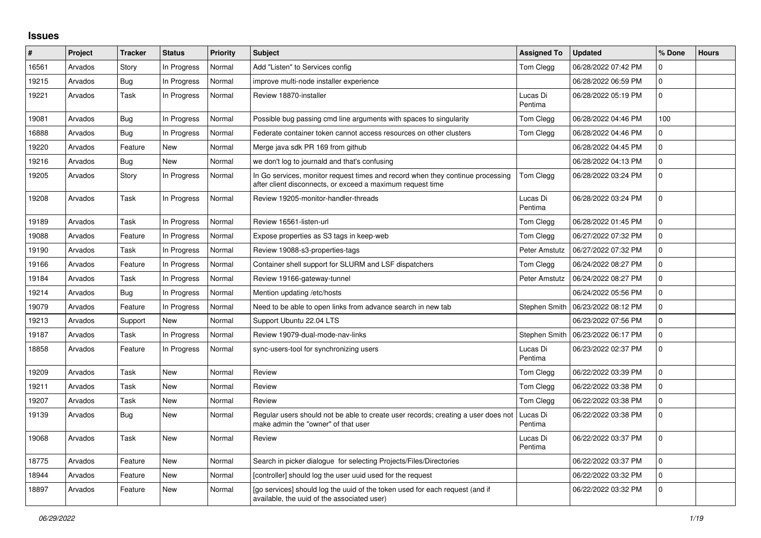## **Issues**

| $\vert$ # | Project | <b>Tracker</b> | <b>Status</b> | Priority | <b>Subject</b>                                                                                                                               | <b>Assigned To</b>  | <b>Updated</b>      | % Done      | <b>Hours</b> |
|-----------|---------|----------------|---------------|----------|----------------------------------------------------------------------------------------------------------------------------------------------|---------------------|---------------------|-------------|--------------|
| 16561     | Arvados | Story          | In Progress   | Normal   | Add "Listen" to Services config                                                                                                              | Tom Clegg           | 06/28/2022 07:42 PM | 0           |              |
| 19215     | Arvados | <b>Bug</b>     | In Progress   | Normal   | improve multi-node installer experience                                                                                                      |                     | 06/28/2022 06:59 PM | 0           |              |
| 19221     | Arvados | Task           | In Progress   | Normal   | Review 18870-installer                                                                                                                       | Lucas Di<br>Pentima | 06/28/2022 05:19 PM | $\Omega$    |              |
| 19081     | Arvados | Bug            | In Progress   | Normal   | Possible bug passing cmd line arguments with spaces to singularity                                                                           | Tom Clegg           | 06/28/2022 04:46 PM | 100         |              |
| 16888     | Arvados | Bug            | In Progress   | Normal   | Federate container token cannot access resources on other clusters                                                                           | Tom Clegg           | 06/28/2022 04:46 PM | $\mathbf 0$ |              |
| 19220     | Arvados | Feature        | New           | Normal   | Merge java sdk PR 169 from github                                                                                                            |                     | 06/28/2022 04:45 PM | $\mathbf 0$ |              |
| 19216     | Arvados | <b>Bug</b>     | New           | Normal   | we don't log to journald and that's confusing                                                                                                |                     | 06/28/2022 04:13 PM | $\Omega$    |              |
| 19205     | Arvados | Story          | In Progress   | Normal   | In Go services, monitor request times and record when they continue processing<br>after client disconnects, or exceed a maximum request time | <b>Tom Clegg</b>    | 06/28/2022 03:24 PM | $\Omega$    |              |
| 19208     | Arvados | Task           | In Progress   | Normal   | Review 19205-monitor-handler-threads                                                                                                         | Lucas Di<br>Pentima | 06/28/2022 03:24 PM | $\Omega$    |              |
| 19189     | Arvados | Task           | In Progress   | Normal   | Review 16561-listen-url                                                                                                                      | Tom Clegg           | 06/28/2022 01:45 PM | $\mathbf 0$ |              |
| 19088     | Arvados | Feature        | In Progress   | Normal   | Expose properties as S3 tags in keep-web                                                                                                     | Tom Clegg           | 06/27/2022 07:32 PM | $\Omega$    |              |
| 19190     | Arvados | Task           | In Progress   | Normal   | Review 19088-s3-properties-tags                                                                                                              | Peter Amstutz       | 06/27/2022 07:32 PM | $\Omega$    |              |
| 19166     | Arvados | Feature        | In Progress   | Normal   | Container shell support for SLURM and LSF dispatchers                                                                                        | Tom Clegg           | 06/24/2022 08:27 PM | $\mathbf 0$ |              |
| 19184     | Arvados | Task           | In Progress   | Normal   | Review 19166-gateway-tunnel                                                                                                                  | Peter Amstutz       | 06/24/2022 08:27 PM | 0           |              |
| 19214     | Arvados | <b>Bug</b>     | In Progress   | Normal   | Mention updating /etc/hosts                                                                                                                  |                     | 06/24/2022 05:56 PM | $\mathbf 0$ |              |
| 19079     | Arvados | Feature        | In Progress   | Normal   | Need to be able to open links from advance search in new tab                                                                                 | Stephen Smith       | 06/23/2022 08:12 PM | $\Omega$    |              |
| 19213     | Arvados | Support        | New           | Normal   | Support Ubuntu 22.04 LTS                                                                                                                     |                     | 06/23/2022 07:56 PM | $\mathbf 0$ |              |
| 19187     | Arvados | Task           | In Progress   | Normal   | Review 19079-dual-mode-nav-links                                                                                                             | Stephen Smith       | 06/23/2022 06:17 PM | $\mathbf 0$ |              |
| 18858     | Arvados | Feature        | In Progress   | Normal   | sync-users-tool for synchronizing users                                                                                                      | Lucas Di<br>Pentima | 06/23/2022 02:37 PM | $\mathbf 0$ |              |
| 19209     | Arvados | Task           | New           | Normal   | Review                                                                                                                                       | Tom Clegg           | 06/22/2022 03:39 PM | $\Omega$    |              |
| 19211     | Arvados | Task           | New           | Normal   | Review                                                                                                                                       | Tom Clegg           | 06/22/2022 03:38 PM | $\mathbf 0$ |              |
| 19207     | Arvados | Task           | New           | Normal   | Review                                                                                                                                       | Tom Clegg           | 06/22/2022 03:38 PM | 0           |              |
| 19139     | Arvados | <b>Bug</b>     | New           | Normal   | Regular users should not be able to create user records; creating a user does not<br>make admin the "owner" of that user                     | Lucas Di<br>Pentima | 06/22/2022 03:38 PM | $\mathbf 0$ |              |
| 19068     | Arvados | Task           | New           | Normal   | Review                                                                                                                                       | Lucas Di<br>Pentima | 06/22/2022 03:37 PM | $\Omega$    |              |
| 18775     | Arvados | Feature        | New           | Normal   | Search in picker dialogue for selecting Projects/Files/Directories                                                                           |                     | 06/22/2022 03:37 PM | $\mathbf 0$ |              |
| 18944     | Arvados | Feature        | New           | Normal   | [controller] should log the user uuid used for the request                                                                                   |                     | 06/22/2022 03:32 PM | $\mathbf 0$ |              |
| 18897     | Arvados | Feature        | New           | Normal   | [go services] should log the uuid of the token used for each request (and if<br>available, the uuid of the associated user)                  |                     | 06/22/2022 03:32 PM | $\mathbf 0$ |              |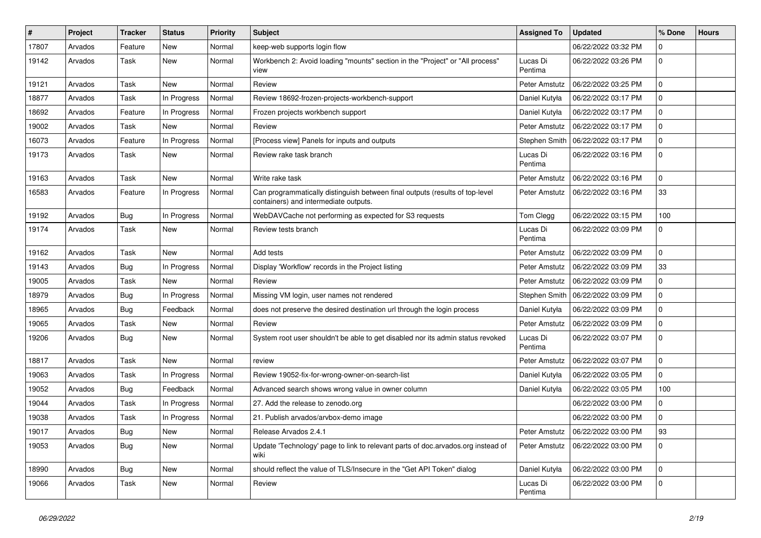| $\vert$ # | Project | <b>Tracker</b> | <b>Status</b> | <b>Priority</b> | <b>Subject</b>                                                                                                        | <b>Assigned To</b>  | <b>Updated</b>      | % Done      | <b>Hours</b> |
|-----------|---------|----------------|---------------|-----------------|-----------------------------------------------------------------------------------------------------------------------|---------------------|---------------------|-------------|--------------|
| 17807     | Arvados | Feature        | New           | Normal          | keep-web supports login flow                                                                                          |                     | 06/22/2022 03:32 PM | 0           |              |
| 19142     | Arvados | Task           | New           | Normal          | Workbench 2: Avoid loading "mounts" section in the "Project" or "All process"<br>view                                 | Lucas Di<br>Pentima | 06/22/2022 03:26 PM | 0           |              |
| 19121     | Arvados | Task           | New           | Normal          | Review                                                                                                                | Peter Amstutz       | 06/22/2022 03:25 PM | 0           |              |
| 18877     | Arvados | Task           | In Progress   | Normal          | Review 18692-frozen-projects-workbench-support                                                                        | Daniel Kutyła       | 06/22/2022 03:17 PM | 0           |              |
| 18692     | Arvados | Feature        | In Progress   | Normal          | Frozen projects workbench support                                                                                     | Daniel Kutyła       | 06/22/2022 03:17 PM | 0           |              |
| 19002     | Arvados | Task           | New           | Normal          | Review                                                                                                                | Peter Amstutz       | 06/22/2022 03:17 PM | 0           |              |
| 16073     | Arvados | Feature        | In Progress   | Normal          | [Process view] Panels for inputs and outputs                                                                          | Stephen Smith       | 06/22/2022 03:17 PM | 0           |              |
| 19173     | Arvados | Task           | New           | Normal          | Review rake task branch                                                                                               | Lucas Di<br>Pentima | 06/22/2022 03:16 PM | 0           |              |
| 19163     | Arvados | Task           | New           | Normal          | Write rake task                                                                                                       | Peter Amstutz       | 06/22/2022 03:16 PM | $\Omega$    |              |
| 16583     | Arvados | Feature        | In Progress   | Normal          | Can programmatically distinguish between final outputs (results of top-level<br>containers) and intermediate outputs. | Peter Amstutz       | 06/22/2022 03:16 PM | 33          |              |
| 19192     | Arvados | Bug            | In Progress   | Normal          | WebDAVCache not performing as expected for S3 requests                                                                | Tom Clegg           | 06/22/2022 03:15 PM | 100         |              |
| 19174     | Arvados | Task           | New           | Normal          | Review tests branch                                                                                                   | Lucas Di<br>Pentima | 06/22/2022 03:09 PM | 0           |              |
| 19162     | Arvados | Task           | New           | Normal          | Add tests                                                                                                             | Peter Amstutz       | 06/22/2022 03:09 PM | 0           |              |
| 19143     | Arvados | <b>Bug</b>     | In Progress   | Normal          | Display 'Workflow' records in the Project listing                                                                     | Peter Amstutz       | 06/22/2022 03:09 PM | 33          |              |
| 19005     | Arvados | Task           | New           | Normal          | Review                                                                                                                | Peter Amstutz       | 06/22/2022 03:09 PM | 0           |              |
| 18979     | Arvados | <b>Bug</b>     | In Progress   | Normal          | Missing VM login, user names not rendered                                                                             | Stephen Smith       | 06/22/2022 03:09 PM | 0           |              |
| 18965     | Arvados | <b>Bug</b>     | Feedback      | Normal          | does not preserve the desired destination url through the login process                                               | Daniel Kutyła       | 06/22/2022 03:09 PM | $\Omega$    |              |
| 19065     | Arvados | Task           | New           | Normal          | Review                                                                                                                | Peter Amstutz       | 06/22/2022 03:09 PM | 0           |              |
| 19206     | Arvados | <b>Bug</b>     | New           | Normal          | System root user shouldn't be able to get disabled nor its admin status revoked                                       | Lucas Di<br>Pentima | 06/22/2022 03:07 PM | $\Omega$    |              |
| 18817     | Arvados | Task           | New           | Normal          | review                                                                                                                | Peter Amstutz       | 06/22/2022 03:07 PM | 0           |              |
| 19063     | Arvados | Task           | In Progress   | Normal          | Review 19052-fix-for-wrong-owner-on-search-list                                                                       | Daniel Kutyła       | 06/22/2022 03:05 PM | 0           |              |
| 19052     | Arvados | Bug            | Feedback      | Normal          | Advanced search shows wrong value in owner column                                                                     | Daniel Kutyła       | 06/22/2022 03:05 PM | 100         |              |
| 19044     | Arvados | Task           | In Progress   | Normal          | 27. Add the release to zenodo.org                                                                                     |                     | 06/22/2022 03:00 PM | 0           |              |
| 19038     | Arvados | Task           | In Progress   | Normal          | 21. Publish arvados/arvbox-demo image                                                                                 |                     | 06/22/2022 03:00 PM | 0           |              |
| 19017     | Arvados | Bug            | New           | Normal          | Release Arvados 2.4.1                                                                                                 | Peter Amstutz       | 06/22/2022 03:00 PM | 93          |              |
| 19053     | Arvados | <b>Bug</b>     | New           | Normal          | Update 'Technology' page to link to relevant parts of doc.arvados.org instead of<br>wiki                              | Peter Amstutz       | 06/22/2022 03:00 PM | $\Omega$    |              |
| 18990     | Arvados | <b>Bug</b>     | New           | Normal          | should reflect the value of TLS/Insecure in the "Get API Token" dialog                                                | Daniel Kutyła       | 06/22/2022 03:00 PM | 0           |              |
| 19066     | Arvados | Task           | New           | Normal          | Review                                                                                                                | Lucas Di<br>Pentima | 06/22/2022 03:00 PM | $\mathbf 0$ |              |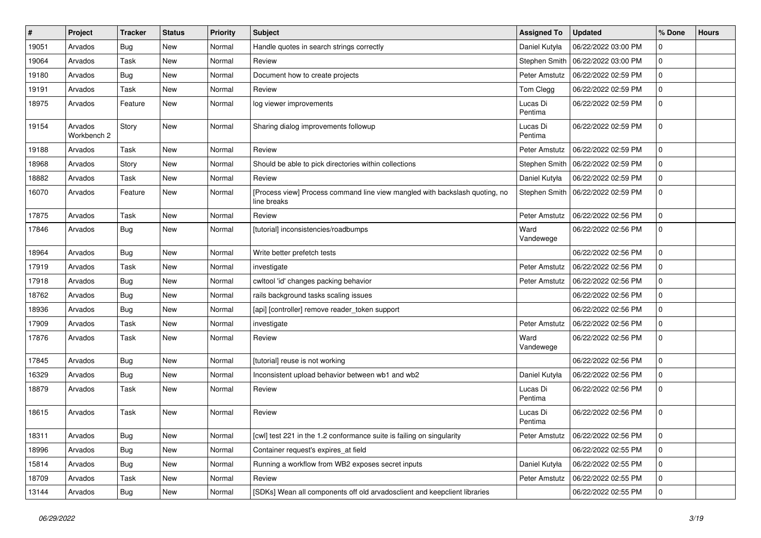| #     | Project                | Tracker    | <b>Status</b> | <b>Priority</b> | Subject                                                                                    | <b>Assigned To</b>  | <b>Updated</b>                      | % Done      | <b>Hours</b> |
|-------|------------------------|------------|---------------|-----------------|--------------------------------------------------------------------------------------------|---------------------|-------------------------------------|-------------|--------------|
| 19051 | Arvados                | <b>Bug</b> | <b>New</b>    | Normal          | Handle quotes in search strings correctly                                                  | Daniel Kutyła       | 06/22/2022 03:00 PM                 | 0           |              |
| 19064 | Arvados                | Task       | <b>New</b>    | Normal          | Review                                                                                     | Stephen Smith       | 06/22/2022 03:00 PM                 | $\mathbf 0$ |              |
| 19180 | Arvados                | Bug        | <b>New</b>    | Normal          | Document how to create projects                                                            | Peter Amstutz       | 06/22/2022 02:59 PM                 | $\mathbf 0$ |              |
| 19191 | Arvados                | Task       | <b>New</b>    | Normal          | Review                                                                                     | Tom Clegg           | 06/22/2022 02:59 PM                 | $\mathbf 0$ |              |
| 18975 | Arvados                | Feature    | <b>New</b>    | Normal          | log viewer improvements                                                                    | Lucas Di<br>Pentima | 06/22/2022 02:59 PM                 | $\Omega$    |              |
| 19154 | Arvados<br>Workbench 2 | Story      | New           | Normal          | Sharing dialog improvements followup                                                       | Lucas Di<br>Pentima | 06/22/2022 02:59 PM                 | $\Omega$    |              |
| 19188 | Arvados                | Task       | <b>New</b>    | Normal          | Review                                                                                     | Peter Amstutz       | 06/22/2022 02:59 PM                 | 0           |              |
| 18968 | Arvados                | Story      | <b>New</b>    | Normal          | Should be able to pick directories within collections                                      | Stephen Smith       | 06/22/2022 02:59 PM                 | $\mathbf 0$ |              |
| 18882 | Arvados                | Task       | New           | Normal          | Review                                                                                     | Daniel Kutyła       | 06/22/2022 02:59 PM                 | $\mathbf 0$ |              |
| 16070 | Arvados                | Feature    | <b>New</b>    | Normal          | [Process view] Process command line view mangled with backslash quoting, no<br>line breaks |                     | Stephen Smith   06/22/2022 02:59 PM | $\Omega$    |              |
| 17875 | Arvados                | Task       | <b>New</b>    | Normal          | Review                                                                                     | Peter Amstutz       | 06/22/2022 02:56 PM                 | $\Omega$    |              |
| 17846 | Arvados                | Bug        | <b>New</b>    | Normal          | [tutorial] inconsistencies/roadbumps                                                       | Ward<br>Vandewege   | 06/22/2022 02:56 PM                 | $\Omega$    |              |
| 18964 | Arvados                | Bug        | <b>New</b>    | Normal          | Write better prefetch tests                                                                |                     | 06/22/2022 02:56 PM                 | 0           |              |
| 17919 | Arvados                | Task       | <b>New</b>    | Normal          | investigate                                                                                | Peter Amstutz       | 06/22/2022 02:56 PM                 | $\mathbf 0$ |              |
| 17918 | Arvados                | <b>Bug</b> | New           | Normal          | cwltool 'id' changes packing behavior                                                      | Peter Amstutz       | 06/22/2022 02:56 PM                 | $\mathbf 0$ |              |
| 18762 | Arvados                | <b>Bug</b> | <b>New</b>    | Normal          | rails background tasks scaling issues                                                      |                     | 06/22/2022 02:56 PM                 | $\mathbf 0$ |              |
| 18936 | Arvados                | Bug        | <b>New</b>    | Normal          | [api] [controller] remove reader_token support                                             |                     | 06/22/2022 02:56 PM                 | $\mathbf 0$ |              |
| 17909 | Arvados                | Task       | New           | Normal          | investigate                                                                                | Peter Amstutz       | 06/22/2022 02:56 PM                 | 0           |              |
| 17876 | Arvados                | Task       | <b>New</b>    | Normal          | Review                                                                                     | Ward<br>Vandewege   | 06/22/2022 02:56 PM                 | $\Omega$    |              |
| 17845 | Arvados                | Bug        | <b>New</b>    | Normal          | [tutorial] reuse is not working                                                            |                     | 06/22/2022 02:56 PM                 | 0           |              |
| 16329 | Arvados                | Bug        | <b>New</b>    | Normal          | Inconsistent upload behavior between wb1 and wb2                                           | Daniel Kutyła       | 06/22/2022 02:56 PM                 | $\Omega$    |              |
| 18879 | Arvados                | Task       | New           | Normal          | Review                                                                                     | Lucas Di<br>Pentima | 06/22/2022 02:56 PM                 | $\Omega$    |              |
| 18615 | Arvados                | Task       | <b>New</b>    | Normal          | Review                                                                                     | Lucas Di<br>Pentima | 06/22/2022 02:56 PM                 | 0           |              |
| 18311 | Arvados                | <b>Bug</b> | New           | Normal          | [cwl] test 221 in the 1.2 conformance suite is failing on singularity                      | Peter Amstutz       | 06/22/2022 02:56 PM                 | l 0         |              |
| 18996 | Arvados                | Bug        | <b>New</b>    | Normal          | Container request's expires at field                                                       |                     | 06/22/2022 02:55 PM                 | $\mathbf 0$ |              |
| 15814 | Arvados                | <b>Bug</b> | <b>New</b>    | Normal          | Running a workflow from WB2 exposes secret inputs                                          | Daniel Kutyła       | 06/22/2022 02:55 PM                 | $\mathbf 0$ |              |
| 18709 | Arvados                | Task       | New           | Normal          | Review                                                                                     | Peter Amstutz       | 06/22/2022 02:55 PM                 | $\mathbf 0$ |              |
| 13144 | Arvados                | Bug        | New           | Normal          | [SDKs] Wean all components off old arvadosclient and keepclient libraries                  |                     | 06/22/2022 02:55 PM                 | $\mathbf 0$ |              |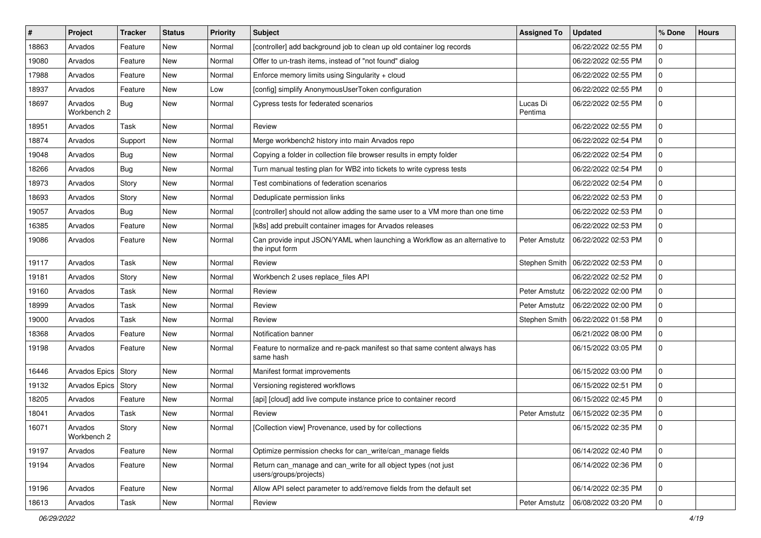| #     | Project                | <b>Tracker</b> | <b>Status</b> | <b>Priority</b> | <b>Subject</b>                                                                               | <b>Assigned To</b>  | <b>Updated</b>                      | % Done         | <b>Hours</b> |
|-------|------------------------|----------------|---------------|-----------------|----------------------------------------------------------------------------------------------|---------------------|-------------------------------------|----------------|--------------|
| 18863 | Arvados                | Feature        | <b>New</b>    | Normal          | [controller] add background job to clean up old container log records                        |                     | 06/22/2022 02:55 PM                 | 0              |              |
| 19080 | Arvados                | Feature        | New           | Normal          | Offer to un-trash items, instead of "not found" dialog                                       |                     | 06/22/2022 02:55 PM                 | $\mathbf 0$    |              |
| 17988 | Arvados                | Feature        | <b>New</b>    | Normal          | Enforce memory limits using Singularity + cloud                                              |                     | 06/22/2022 02:55 PM                 | $\mathbf 0$    |              |
| 18937 | Arvados                | Feature        | <b>New</b>    | Low             | [config] simplify AnonymousUserToken configuration                                           |                     | 06/22/2022 02:55 PM                 | 0              |              |
| 18697 | Arvados<br>Workbench 2 | Bug            | <b>New</b>    | Normal          | Cypress tests for federated scenarios                                                        | Lucas Di<br>Pentima | 06/22/2022 02:55 PM                 | $\mathbf 0$    |              |
| 18951 | Arvados                | Task           | <b>New</b>    | Normal          | Review                                                                                       |                     | 06/22/2022 02:55 PM                 | $\mathbf 0$    |              |
| 18874 | Arvados                | Support        | New           | Normal          | Merge workbench2 history into main Arvados repo                                              |                     | 06/22/2022 02:54 PM                 | 0              |              |
| 19048 | Arvados                | Bug            | <b>New</b>    | Normal          | Copying a folder in collection file browser results in empty folder                          |                     | 06/22/2022 02:54 PM                 | 0              |              |
| 18266 | Arvados                | <b>Bug</b>     | New           | Normal          | Turn manual testing plan for WB2 into tickets to write cypress tests                         |                     | 06/22/2022 02:54 PM                 | $\mathbf 0$    |              |
| 18973 | Arvados                | Story          | <b>New</b>    | Normal          | Test combinations of federation scenarios                                                    |                     | 06/22/2022 02:54 PM                 | 0              |              |
| 18693 | Arvados                | Story          | <b>New</b>    | Normal          | Deduplicate permission links                                                                 |                     | 06/22/2022 02:53 PM                 | 0              |              |
| 19057 | Arvados                | Bug            | <b>New</b>    | Normal          | [controller] should not allow adding the same user to a VM more than one time                |                     | 06/22/2022 02:53 PM                 | 0              |              |
| 16385 | Arvados                | Feature        | <b>New</b>    | Normal          | [k8s] add prebuilt container images for Arvados releases                                     |                     | 06/22/2022 02:53 PM                 | 0              |              |
| 19086 | Arvados                | Feature        | <b>New</b>    | Normal          | Can provide input JSON/YAML when launching a Workflow as an alternative to<br>the input form | Peter Amstutz       | 06/22/2022 02:53 PM                 | $\mathbf 0$    |              |
| 19117 | Arvados                | Task           | <b>New</b>    | Normal          | Review                                                                                       |                     | Stephen Smith   06/22/2022 02:53 PM | 0              |              |
| 19181 | Arvados                | Story          | New           | Normal          | Workbench 2 uses replace_files API                                                           |                     | 06/22/2022 02:52 PM                 | $\mathbf 0$    |              |
| 19160 | Arvados                | Task           | <b>New</b>    | Normal          | Review                                                                                       | Peter Amstutz       | 06/22/2022 02:00 PM                 | 0              |              |
| 18999 | Arvados                | Task           | <b>New</b>    | Normal          | Review                                                                                       | Peter Amstutz       | 06/22/2022 02:00 PM                 | $\mathbf 0$    |              |
| 19000 | Arvados                | Task           | <b>New</b>    | Normal          | Review                                                                                       | Stephen Smith       | 06/22/2022 01:58 PM                 | 0              |              |
| 18368 | Arvados                | Feature        | <b>New</b>    | Normal          | Notification banner                                                                          |                     | 06/21/2022 08:00 PM                 | 0              |              |
| 19198 | Arvados                | Feature        | <b>New</b>    | Normal          | Feature to normalize and re-pack manifest so that same content always has<br>same hash       |                     | 06/15/2022 03:05 PM                 | $\mathbf 0$    |              |
| 16446 | Arvados Epics   Story  |                | <b>New</b>    | Normal          | Manifest format improvements                                                                 |                     | 06/15/2022 03:00 PM                 | 0              |              |
| 19132 | Arvados Epics          | Story          | <b>New</b>    | Normal          | Versioning registered workflows                                                              |                     | 06/15/2022 02:51 PM                 | $\mathbf 0$    |              |
| 18205 | Arvados                | Feature        | <b>New</b>    | Normal          | [api] [cloud] add live compute instance price to container record                            |                     | 06/15/2022 02:45 PM                 | 0              |              |
| 18041 | Arvados                | Task           | <b>New</b>    | Normal          | Review                                                                                       | Peter Amstutz       | 06/15/2022 02:35 PM                 | $\mathbf 0$    |              |
| 16071 | Arvados<br>Workbench 2 | Story          | New           | Normal          | [Collection view] Provenance, used by for collections                                        |                     | 06/15/2022 02:35 PM                 | 0              |              |
| 19197 | Arvados                | Feature        | New           | Normal          | Optimize permission checks for can write/can manage fields                                   |                     | 06/14/2022 02:40 PM                 | $\mathbf 0$    |              |
| 19194 | Arvados                | Feature        | New           | Normal          | Return can_manage and can_write for all object types (not just<br>users/groups/projects)     |                     | 06/14/2022 02:36 PM                 | $\mathbf 0$    |              |
| 19196 | Arvados                | Feature        | New           | Normal          | Allow API select parameter to add/remove fields from the default set                         |                     | 06/14/2022 02:35 PM                 | $\overline{0}$ |              |
| 18613 | Arvados                | Task           | New           | Normal          | Review                                                                                       | Peter Amstutz       | 06/08/2022 03:20 PM                 | 0              |              |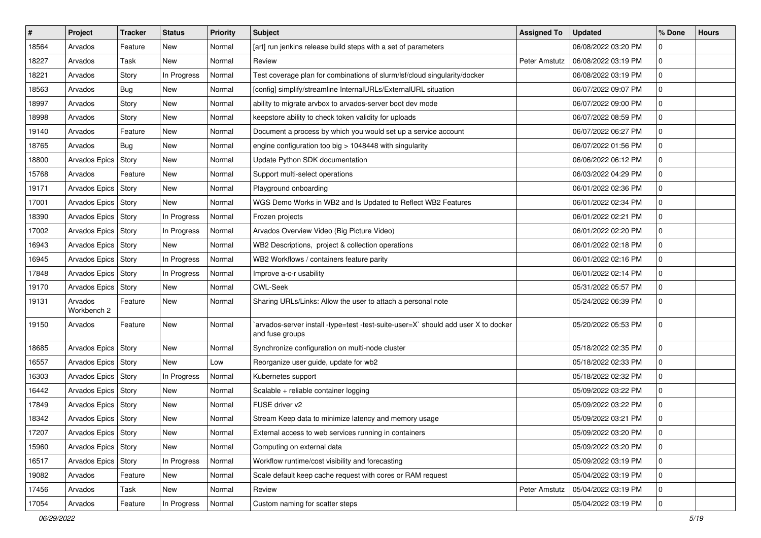| $\vert$ # | Project                | <b>Tracker</b> | <b>Status</b> | <b>Priority</b> | <b>Subject</b>                                                                                        | <b>Assigned To</b> | <b>Updated</b>      | % Done      | <b>Hours</b> |
|-----------|------------------------|----------------|---------------|-----------------|-------------------------------------------------------------------------------------------------------|--------------------|---------------------|-------------|--------------|
| 18564     | Arvados                | Feature        | New           | Normal          | [art] run jenkins release build steps with a set of parameters                                        |                    | 06/08/2022 03:20 PM | $\Omega$    |              |
| 18227     | Arvados                | Task           | <b>New</b>    | Normal          | Review                                                                                                | Peter Amstutz      | 06/08/2022 03:19 PM | $\Omega$    |              |
| 18221     | Arvados                | Story          | In Progress   | Normal          | Test coverage plan for combinations of slurm/lsf/cloud singularity/docker                             |                    | 06/08/2022 03:19 PM | $\Omega$    |              |
| 18563     | Arvados                | Bug            | New           | Normal          | [config] simplify/streamline InternalURLs/ExternalURL situation                                       |                    | 06/07/2022 09:07 PM | $\Omega$    |              |
| 18997     | Arvados                | Story          | New           | Normal          | ability to migrate arvbox to arvados-server boot dev mode                                             |                    | 06/07/2022 09:00 PM | $\Omega$    |              |
| 18998     | Arvados                | Story          | New           | Normal          | keepstore ability to check token validity for uploads                                                 |                    | 06/07/2022 08:59 PM | $\Omega$    |              |
| 19140     | Arvados                | Feature        | <b>New</b>    | Normal          | Document a process by which you would set up a service account                                        |                    | 06/07/2022 06:27 PM | $\Omega$    |              |
| 18765     | Arvados                | Bug            | New           | Normal          | engine configuration too big > 1048448 with singularity                                               |                    | 06/07/2022 01:56 PM | $\Omega$    |              |
| 18800     | Arvados Epics   Story  |                | New           | Normal          | Update Python SDK documentation                                                                       |                    | 06/06/2022 06:12 PM | $\Omega$    |              |
| 15768     | Arvados                | Feature        | New           | Normal          | Support multi-select operations                                                                       |                    | 06/03/2022 04:29 PM | $\Omega$    |              |
| 19171     | Arvados Epics   Story  |                | New           | Normal          | Playground onboarding                                                                                 |                    | 06/01/2022 02:36 PM | $\Omega$    |              |
| 17001     | Arvados Epics   Story  |                | New           | Normal          | WGS Demo Works in WB2 and Is Updated to Reflect WB2 Features                                          |                    | 06/01/2022 02:34 PM | $\Omega$    |              |
| 18390     | Arvados Epics   Story  |                | In Progress   | Normal          | Frozen projects                                                                                       |                    | 06/01/2022 02:21 PM | $\Omega$    |              |
| 17002     | Arvados Epics Story    |                | In Progress   | Normal          | Arvados Overview Video (Big Picture Video)                                                            |                    | 06/01/2022 02:20 PM | $\Omega$    |              |
| 16943     | Arvados Epics Story    |                | New           | Normal          | WB2 Descriptions, project & collection operations                                                     |                    | 06/01/2022 02:18 PM | $\Omega$    |              |
| 16945     | Arvados Epics   Story  |                | In Progress   | Normal          | WB2 Workflows / containers feature parity                                                             |                    | 06/01/2022 02:16 PM | $\Omega$    |              |
| 17848     | Arvados Epics   Story  |                | In Progress   | Normal          | Improve a-c-r usability                                                                               |                    | 06/01/2022 02:14 PM | $\Omega$    |              |
| 19170     | Arvados Epics Story    |                | New           | Normal          | <b>CWL-Seek</b>                                                                                       |                    | 05/31/2022 05:57 PM | $\Omega$    |              |
| 19131     | Arvados<br>Workbench 2 | Feature        | New           | Normal          | Sharing URLs/Links: Allow the user to attach a personal note                                          |                    | 05/24/2022 06:39 PM | $\Omega$    |              |
| 19150     | Arvados                | Feature        | New           | Normal          | `arvados-server install -type=test -test-suite-user=X` should add user X to docker<br>and fuse groups |                    | 05/20/2022 05:53 PM | $\Omega$    |              |
| 18685     | Arvados Epics Story    |                | New           | Normal          | Synchronize configuration on multi-node cluster                                                       |                    | 05/18/2022 02:35 PM | $\Omega$    |              |
| 16557     | Arvados Epics   Story  |                | New           | Low             | Reorganize user guide, update for wb2                                                                 |                    | 05/18/2022 02:33 PM | $\Omega$    |              |
| 16303     | Arvados Epics   Story  |                | In Progress   | Normal          | Kubernetes support                                                                                    |                    | 05/18/2022 02:32 PM | $\Omega$    |              |
| 16442     | Arvados Epics   Story  |                | <b>New</b>    | Normal          | Scalable + reliable container logging                                                                 |                    | 05/09/2022 03:22 PM | $\Omega$    |              |
| 17849     | Arvados Epics   Story  |                | New           | Normal          | FUSE driver v2                                                                                        |                    | 05/09/2022 03:22 PM | $\Omega$    |              |
| 18342     | Arvados Epics   Story  |                | <b>New</b>    | Normal          | Stream Keep data to minimize latency and memory usage                                                 |                    | 05/09/2022 03:21 PM | $\Omega$    |              |
| 17207     | Arvados Epics   Story  |                | New           | Normal          | External access to web services running in containers                                                 |                    | 05/09/2022 03:20 PM | 0           |              |
| 15960     | Arvados Epics   Story  |                | New           | Normal          | Computing on external data                                                                            |                    | 05/09/2022 03:20 PM | $\Omega$    |              |
| 16517     | Arvados Epics   Story  |                | In Progress   | Normal          | Workflow runtime/cost visibility and forecasting                                                      |                    | 05/09/2022 03:19 PM | $\mathbf 0$ |              |
| 19082     | Arvados                | Feature        | New           | Normal          | Scale default keep cache request with cores or RAM request                                            |                    | 05/04/2022 03:19 PM | $\Omega$    |              |
| 17456     | Arvados                | Task           | New           | Normal          | Review                                                                                                | Peter Amstutz      | 05/04/2022 03:19 PM | $\mathbf 0$ |              |
| 17054     | Arvados                | Feature        | In Progress   | Normal          | Custom naming for scatter steps                                                                       |                    | 05/04/2022 03:19 PM | $\Omega$    |              |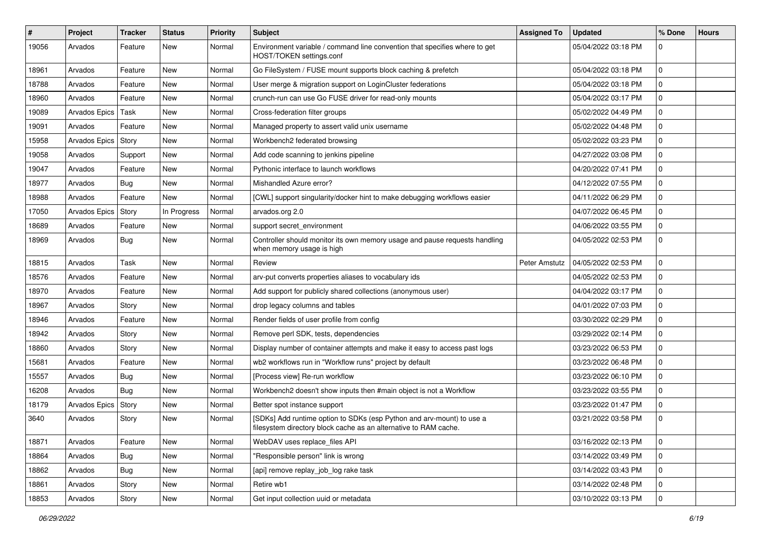| #     | Project               | <b>Tracker</b> | <b>Status</b> | <b>Priority</b> | <b>Subject</b>                                                                                                                            | <b>Assigned To</b> | <b>Updated</b>      | % Done      | <b>Hours</b> |
|-------|-----------------------|----------------|---------------|-----------------|-------------------------------------------------------------------------------------------------------------------------------------------|--------------------|---------------------|-------------|--------------|
| 19056 | Arvados               | Feature        | New           | Normal          | Environment variable / command line convention that specifies where to get<br>HOST/TOKEN settings.conf                                    |                    | 05/04/2022 03:18 PM | 0           |              |
| 18961 | Arvados               | Feature        | <b>New</b>    | Normal          | Go FileSystem / FUSE mount supports block caching & prefetch                                                                              |                    | 05/04/2022 03:18 PM | $\mathbf 0$ |              |
| 18788 | Arvados               | Feature        | <b>New</b>    | Normal          | User merge & migration support on LoginCluster federations                                                                                |                    | 05/04/2022 03:18 PM | 0           |              |
| 18960 | Arvados               | Feature        | New           | Normal          | crunch-run can use Go FUSE driver for read-only mounts                                                                                    |                    | 05/04/2022 03:17 PM | $\mathbf 0$ |              |
| 19089 | Arvados Epics   Task  |                | <b>New</b>    | Normal          | Cross-federation filter groups                                                                                                            |                    | 05/02/2022 04:49 PM | 0           |              |
| 19091 | Arvados               | Feature        | <b>New</b>    | Normal          | Managed property to assert valid unix username                                                                                            |                    | 05/02/2022 04:48 PM | $\mathbf 0$ |              |
| 15958 | Arvados Epics Story   |                | New           | Normal          | Workbench2 federated browsing                                                                                                             |                    | 05/02/2022 03:23 PM | 0           |              |
| 19058 | Arvados               | Support        | <b>New</b>    | Normal          | Add code scanning to jenkins pipeline                                                                                                     |                    | 04/27/2022 03:08 PM | 0           |              |
| 19047 | Arvados               | Feature        | New           | Normal          | Pythonic interface to launch workflows                                                                                                    |                    | 04/20/2022 07:41 PM | $\mathbf 0$ |              |
| 18977 | Arvados               | Bug            | <b>New</b>    | Normal          | Mishandled Azure error?                                                                                                                   |                    | 04/12/2022 07:55 PM | $\mathbf 0$ |              |
| 18988 | Arvados               | Feature        | New           | Normal          | [CWL] support singularity/docker hint to make debugging workflows easier                                                                  |                    | 04/11/2022 06:29 PM | 0           |              |
| 17050 | Arvados Epics         | Story          | In Progress   | Normal          | arvados.org 2.0                                                                                                                           |                    | 04/07/2022 06:45 PM | 0           |              |
| 18689 | Arvados               | Feature        | New           | Normal          | support secret_environment                                                                                                                |                    | 04/06/2022 03:55 PM | 0           |              |
| 18969 | Arvados               | Bug            | <b>New</b>    | Normal          | Controller should monitor its own memory usage and pause requests handling<br>when memory usage is high                                   |                    | 04/05/2022 02:53 PM | $\mathbf 0$ |              |
| 18815 | Arvados               | Task           | <b>New</b>    | Normal          | Review                                                                                                                                    | Peter Amstutz      | 04/05/2022 02:53 PM | 0           |              |
| 18576 | Arvados               | Feature        | <b>New</b>    | Normal          | arv-put converts properties aliases to vocabulary ids                                                                                     |                    | 04/05/2022 02:53 PM | $\mathbf 0$ |              |
| 18970 | Arvados               | Feature        | New           | Normal          | Add support for publicly shared collections (anonymous user)                                                                              |                    | 04/04/2022 03:17 PM | 0           |              |
| 18967 | Arvados               | Story          | <b>New</b>    | Normal          | drop legacy columns and tables                                                                                                            |                    | 04/01/2022 07:03 PM | $\mathbf 0$ |              |
| 18946 | Arvados               | Feature        | <b>New</b>    | Normal          | Render fields of user profile from config                                                                                                 |                    | 03/30/2022 02:29 PM | 0           |              |
| 18942 | Arvados               | Story          | <b>New</b>    | Normal          | Remove perl SDK, tests, dependencies                                                                                                      |                    | 03/29/2022 02:14 PM | 0           |              |
| 18860 | Arvados               | Story          | <b>New</b>    | Normal          | Display number of container attempts and make it easy to access past logs                                                                 |                    | 03/23/2022 06:53 PM | $\mathbf 0$ |              |
| 15681 | Arvados               | Feature        | <b>New</b>    | Normal          | wb2 workflows run in "Workflow runs" project by default                                                                                   |                    | 03/23/2022 06:48 PM | $\mathbf 0$ |              |
| 15557 | Arvados               | Bug            | New           | Normal          | [Process view] Re-run workflow                                                                                                            |                    | 03/23/2022 06:10 PM | 0           |              |
| 16208 | Arvados               | Bug            | <b>New</b>    | Normal          | Workbench2 doesn't show inputs then #main object is not a Workflow                                                                        |                    | 03/23/2022 03:55 PM | $\mathbf 0$ |              |
| 18179 | Arvados Epics   Story |                | <b>New</b>    | Normal          | Better spot instance support                                                                                                              |                    | 03/23/2022 01:47 PM | 0           |              |
| 3640  | Arvados               | Story          | <b>New</b>    | Normal          | [SDKs] Add runtime option to SDKs (esp Python and arv-mount) to use a<br>filesystem directory block cache as an alternative to RAM cache. |                    | 03/21/2022 03:58 PM | $\mathbf 0$ |              |
| 18871 | Arvados               | Feature        | New           | Normal          | WebDAV uses replace_files API                                                                                                             |                    | 03/16/2022 02:13 PM | 0           |              |
| 18864 | Arvados               | Bug            | New           | Normal          | "Responsible person" link is wrong                                                                                                        |                    | 03/14/2022 03:49 PM | $\mathbf 0$ |              |
| 18862 | Arvados               | Bug            | New           | Normal          | [api] remove replay_job_log rake task                                                                                                     |                    | 03/14/2022 03:43 PM | $\mathbf 0$ |              |
| 18861 | Arvados               | Story          | New           | Normal          | Retire wb1                                                                                                                                |                    | 03/14/2022 02:48 PM | 0           |              |
| 18853 | Arvados               | Story          | New           | Normal          | Get input collection uuid or metadata                                                                                                     |                    | 03/10/2022 03:13 PM | 0           |              |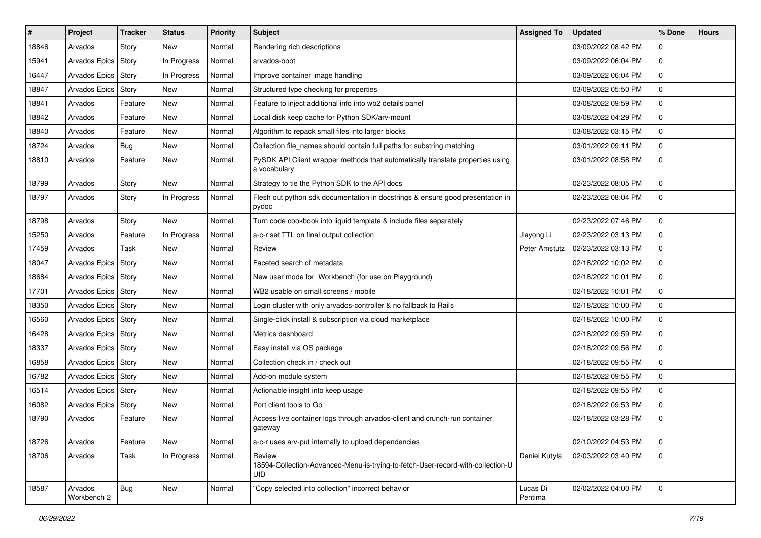| #     | Project                | <b>Tracker</b> | <b>Status</b> | <b>Priority</b> | Subject                                                                                                 | <b>Assigned To</b>  | <b>Updated</b>      | % Done   | <b>Hours</b> |
|-------|------------------------|----------------|---------------|-----------------|---------------------------------------------------------------------------------------------------------|---------------------|---------------------|----------|--------------|
| 18846 | Arvados                | Story          | New           | Normal          | Rendering rich descriptions                                                                             |                     | 03/09/2022 08:42 PM | $\Omega$ |              |
| 15941 | Arvados Epics          | Story          | In Progress   | Normal          | arvados-boot                                                                                            |                     | 03/09/2022 06:04 PM | $\Omega$ |              |
| 16447 | Arvados Epics   Story  |                | In Progress   | Normal          | Improve container image handling                                                                        |                     | 03/09/2022 06:04 PM | $\Omega$ |              |
| 18847 | Arvados Epics   Story  |                | New           | Normal          | Structured type checking for properties                                                                 |                     | 03/09/2022 05:50 PM | $\Omega$ |              |
| 18841 | Arvados                | Feature        | New           | Normal          | Feature to inject additional info into wb2 details panel                                                |                     | 03/08/2022 09:59 PM | $\Omega$ |              |
| 18842 | Arvados                | Feature        | New           | Normal          | Local disk keep cache for Python SDK/arv-mount                                                          |                     | 03/08/2022 04:29 PM | $\Omega$ |              |
| 18840 | Arvados                | Feature        | New           | Normal          | Algorithm to repack small files into larger blocks                                                      |                     | 03/08/2022 03:15 PM | $\Omega$ |              |
| 18724 | Arvados                | <b>Bug</b>     | New           | Normal          | Collection file_names should contain full paths for substring matching                                  |                     | 03/01/2022 09:11 PM | $\Omega$ |              |
| 18810 | Arvados                | Feature        | New           | Normal          | PySDK API Client wrapper methods that automatically translate properties using<br>a vocabulary          |                     | 03/01/2022 08:58 PM |          |              |
| 18799 | Arvados                | Story          | New           | Normal          | Strategy to tie the Python SDK to the API docs                                                          |                     | 02/23/2022 08:05 PM | $\Omega$ |              |
| 18797 | Arvados                | Story          | In Progress   | Normal          | Flesh out python sdk documentation in docstrings & ensure good presentation in<br>pydoc                 |                     | 02/23/2022 08:04 PM | $\Omega$ |              |
| 18798 | Arvados                | Story          | New           | Normal          | Turn code cookbook into liquid template & include files separately                                      |                     | 02/23/2022 07:46 PM | $\Omega$ |              |
| 15250 | Arvados                | Feature        | In Progress   | Normal          | a-c-r set TTL on final output collection                                                                | Jiayong Li          | 02/23/2022 03:13 PM | $\Omega$ |              |
| 17459 | Arvados                | Task           | New           | Normal          | Review                                                                                                  | Peter Amstutz       | 02/23/2022 03:13 PM | $\Omega$ |              |
| 18047 | Arvados Epics   Story  |                | New           | Normal          | Faceted search of metadata                                                                              |                     | 02/18/2022 10:02 PM | $\Omega$ |              |
| 18684 | Arvados Epics Story    |                | New           | Normal          | New user mode for Workbench (for use on Playground)                                                     |                     | 02/18/2022 10:01 PM | $\Omega$ |              |
| 17701 | Arvados Epics   Story  |                | New           | Normal          | WB2 usable on small screens / mobile                                                                    |                     | 02/18/2022 10:01 PM | $\Omega$ |              |
| 18350 | Arvados Epics   Story  |                | <b>New</b>    | Normal          | Login cluster with only arvados-controller & no fallback to Rails                                       |                     | 02/18/2022 10:00 PM | $\Omega$ |              |
| 16560 | Arvados Epics Story    |                | New           | Normal          | Single-click install & subscription via cloud marketplace                                               |                     | 02/18/2022 10:00 PM | $\Omega$ |              |
| 16428 | Arvados Epics   Story  |                | New           | Normal          | Metrics dashboard                                                                                       |                     | 02/18/2022 09:59 PM | $\Omega$ |              |
| 18337 | Arvados Epics   Story  |                | New           | Normal          | Easy install via OS package                                                                             |                     | 02/18/2022 09:56 PM | $\Omega$ |              |
| 16858 | Arvados Epics   Story  |                | New           | Normal          | Collection check in / check out                                                                         |                     | 02/18/2022 09:55 PM | $\Omega$ |              |
| 16782 | Arvados Epics Story    |                | New           | Normal          | Add-on module system                                                                                    |                     | 02/18/2022 09:55 PM | $\Omega$ |              |
| 16514 | Arvados Epics Story    |                | New           | Normal          | Actionable insight into keep usage                                                                      |                     | 02/18/2022 09:55 PM | $\Omega$ |              |
| 16082 | Arvados Epics   Story  |                | New           | Normal          | Port client tools to Go                                                                                 |                     | 02/18/2022 09:53 PM | $\Omega$ |              |
| 18790 | Arvados                | Feature        | New           | Normal          | Access live container logs through arvados-client and crunch-run container<br>gateway                   |                     | 02/18/2022 03:28 PM | $\Omega$ |              |
| 18726 | Arvados                | Feature        | New           | Normal          | a-c-r uses arv-put internally to upload dependencies                                                    |                     | 02/10/2022 04:53 PM | $\Omega$ |              |
| 18706 | Arvados                | Task           | In Progress   | Normal          | Review<br>18594-Collection-Advanced-Menu-is-trying-to-fetch-User-record-with-collection-U<br><b>UID</b> | Daniel Kutyła       | 02/03/2022 03:40 PM |          |              |
| 18587 | Arvados<br>Workbench 2 | <b>Bug</b>     | New           | Normal          | "Copy selected into collection" incorrect behavior                                                      | Lucas Di<br>Pentima | 02/02/2022 04:00 PM | l O      |              |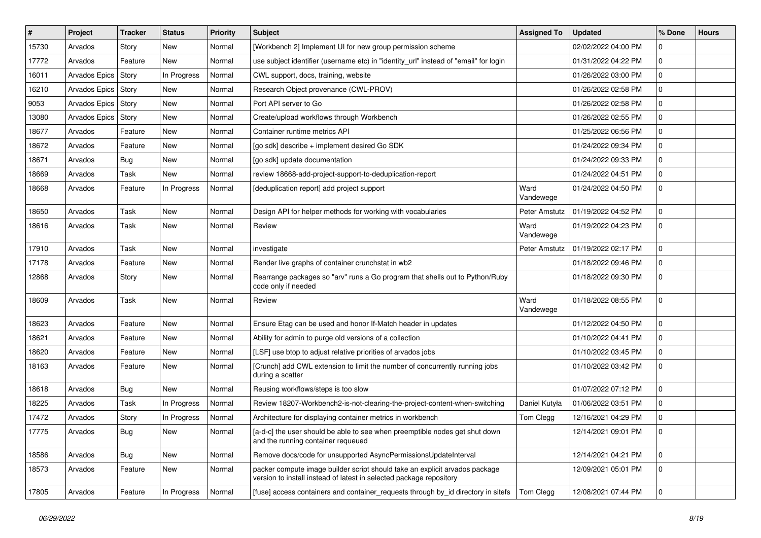| #     | Project               | <b>Tracker</b> | <b>Status</b> | <b>Priority</b> | <b>Subject</b>                                                                                                                                     | <b>Assigned To</b> | <b>Updated</b>      | % Done      | <b>Hours</b> |
|-------|-----------------------|----------------|---------------|-----------------|----------------------------------------------------------------------------------------------------------------------------------------------------|--------------------|---------------------|-------------|--------------|
| 15730 | Arvados               | Story          | New           | Normal          | [Workbench 2] Implement UI for new group permission scheme                                                                                         |                    | 02/02/2022 04:00 PM | 0           |              |
| 17772 | Arvados               | Feature        | New           | Normal          | use subject identifier (username etc) in "identity_url" instead of "email" for login                                                               |                    | 01/31/2022 04:22 PM | $\mathbf 0$ |              |
| 16011 | Arvados Epics   Story |                | In Progress   | Normal          | CWL support, docs, training, website                                                                                                               |                    | 01/26/2022 03:00 PM | $\mathbf 0$ |              |
| 16210 | Arvados Epics   Story |                | New           | Normal          | Research Object provenance (CWL-PROV)                                                                                                              |                    | 01/26/2022 02:58 PM | $\mathbf 0$ |              |
| 9053  | Arvados Epics         | Story          | New           | Normal          | Port API server to Go                                                                                                                              |                    | 01/26/2022 02:58 PM | $\mathbf 0$ |              |
| 13080 | Arvados Epics         | Story          | New           | Normal          | Create/upload workflows through Workbench                                                                                                          |                    | 01/26/2022 02:55 PM | 0           |              |
| 18677 | Arvados               | Feature        | New           | Normal          | Container runtime metrics API                                                                                                                      |                    | 01/25/2022 06:56 PM | $\mathbf 0$ |              |
| 18672 | Arvados               | Feature        | New           | Normal          | [go sdk] describe + implement desired Go SDK                                                                                                       |                    | 01/24/2022 09:34 PM | 0           |              |
| 18671 | Arvados               | <b>Bug</b>     | New           | Normal          | [go sdk] update documentation                                                                                                                      |                    | 01/24/2022 09:33 PM | 0           |              |
| 18669 | Arvados               | Task           | New           | Normal          | review 18668-add-project-support-to-deduplication-report                                                                                           |                    | 01/24/2022 04:51 PM | $\mathbf 0$ |              |
| 18668 | Arvados               | Feature        | In Progress   | Normal          | [deduplication report] add project support                                                                                                         | Ward<br>Vandewege  | 01/24/2022 04:50 PM | 0           |              |
| 18650 | Arvados               | Task           | New           | Normal          | Design API for helper methods for working with vocabularies                                                                                        | Peter Amstutz      | 01/19/2022 04:52 PM | $\mathbf 0$ |              |
| 18616 | Arvados               | Task           | New           | Normal          | Review                                                                                                                                             | Ward<br>Vandewege  | 01/19/2022 04:23 PM | 0           |              |
| 17910 | Arvados               | Task           | New           | Normal          | investigate                                                                                                                                        | Peter Amstutz      | 01/19/2022 02:17 PM | 0           |              |
| 17178 | Arvados               | Feature        | New           | Normal          | Render live graphs of container crunchstat in wb2                                                                                                  |                    | 01/18/2022 09:46 PM | 0           |              |
| 12868 | Arvados               | Story          | New           | Normal          | Rearrange packages so "arv" runs a Go program that shells out to Python/Ruby<br>code only if needed                                                |                    | 01/18/2022 09:30 PM | $\mathbf 0$ |              |
| 18609 | Arvados               | Task           | New           | Normal          | Review                                                                                                                                             | Ward<br>Vandewege  | 01/18/2022 08:55 PM | $\mathbf 0$ |              |
| 18623 | Arvados               | Feature        | New           | Normal          | Ensure Etag can be used and honor If-Match header in updates                                                                                       |                    | 01/12/2022 04:50 PM | 0           |              |
| 18621 | Arvados               | Feature        | New           | Normal          | Ability for admin to purge old versions of a collection                                                                                            |                    | 01/10/2022 04:41 PM | $\mathbf 0$ |              |
| 18620 | Arvados               | Feature        | New           | Normal          | [LSF] use btop to adjust relative priorities of arvados jobs                                                                                       |                    | 01/10/2022 03:45 PM | 0           |              |
| 18163 | Arvados               | Feature        | New           | Normal          | [Crunch] add CWL extension to limit the number of concurrently running jobs<br>during a scatter                                                    |                    | 01/10/2022 03:42 PM | $\Omega$    |              |
| 18618 | Arvados               | Bug            | New           | Normal          | Reusing workflows/steps is too slow                                                                                                                |                    | 01/07/2022 07:12 PM | $\mathbf 0$ |              |
| 18225 | Arvados               | Task           | In Progress   | Normal          | Review 18207-Workbench2-is-not-clearing-the-project-content-when-switching                                                                         | Daniel Kutyła      | 01/06/2022 03:51 PM | 0           |              |
| 17472 | Arvados               | Story          | In Progress   | Normal          | Architecture for displaying container metrics in workbench                                                                                         | Tom Clegg          | 12/16/2021 04:29 PM | 0           |              |
| 17775 | Arvados               | Bug            | New           | Normal          | [a-d-c] the user should be able to see when preemptible nodes get shut down<br>and the running container requeued                                  |                    | 12/14/2021 09:01 PM | 0           |              |
| 18586 | Arvados               | <b>Bug</b>     | New           | Normal          | Remove docs/code for unsupported AsyncPermissionsUpdateInterval                                                                                    |                    | 12/14/2021 04:21 PM | $\mathbf 0$ |              |
| 18573 | Arvados               | Feature        | New           | Normal          | packer compute image builder script should take an explicit arvados package<br>version to install instead of latest in selected package repository |                    | 12/09/2021 05:01 PM | $\mathbf 0$ |              |
| 17805 | Arvados               | Feature        | In Progress   | Normal          | [fuse] access containers and container_requests through by_id directory in sitefs                                                                  | Tom Clegg          | 12/08/2021 07:44 PM | $\mathbf 0$ |              |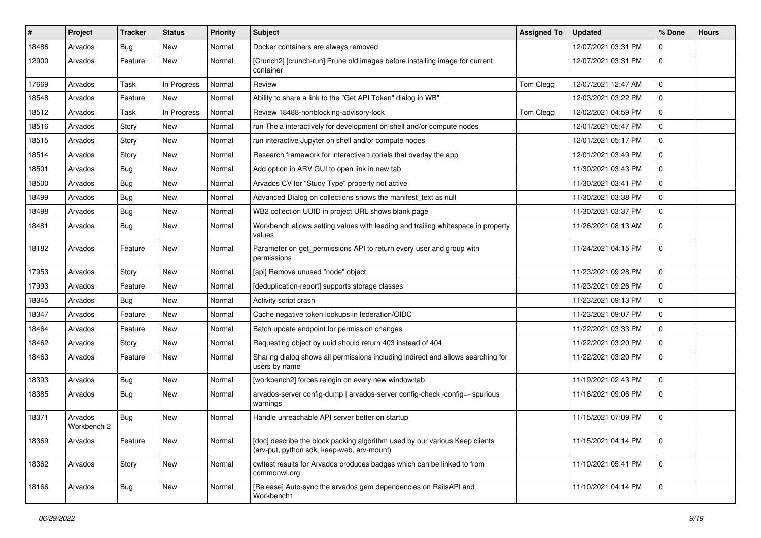| #     | <b>Project</b>         | <b>Tracker</b> | <b>Status</b> | <b>Priority</b> | <b>Subject</b>                                                                                                            | <b>Assigned To</b> | <b>Updated</b>      | % Done         | <b>Hours</b> |
|-------|------------------------|----------------|---------------|-----------------|---------------------------------------------------------------------------------------------------------------------------|--------------------|---------------------|----------------|--------------|
| 18486 | Arvados                | <b>Bug</b>     | New           | Normal          | Docker containers are always removed                                                                                      |                    | 12/07/2021 03:31 PM | 0              |              |
| 12900 | Arvados                | Feature        | <b>New</b>    | Normal          | [Crunch2] [crunch-run] Prune old images before installing image for current<br>container                                  |                    | 12/07/2021 03:31 PM | $\Omega$       |              |
| 17669 | Arvados                | Task           | In Progress   | Normal          | Review                                                                                                                    | Tom Clegg          | 12/07/2021 12:47 AM | $\Omega$       |              |
| 18548 | Arvados                | Feature        | <b>New</b>    | Normal          | Ability to share a link to the "Get API Token" dialog in WB"                                                              |                    | 12/03/2021 03:22 PM | $\Omega$       |              |
| 18512 | Arvados                | Task           | In Progress   | Normal          | Review 18488-nonblocking-advisory-lock                                                                                    | Tom Clegg          | 12/02/2021 04:59 PM | $\Omega$       |              |
| 18516 | Arvados                | Story          | <b>New</b>    | Normal          | run Theia interactively for development on shell and/or compute nodes                                                     |                    | 12/01/2021 05:47 PM | $\Omega$       |              |
| 18515 | Arvados                | Story          | New           | Normal          | run interactive Jupyter on shell and/or compute nodes                                                                     |                    | 12/01/2021 05:17 PM | $\Omega$       |              |
| 18514 | Arvados                | Story          | New           | Normal          | Research framework for interactive tutorials that overlay the app                                                         |                    | 12/01/2021 03:49 PM | $\Omega$       |              |
| 18501 | Arvados                | <b>Bug</b>     | <b>New</b>    | Normal          | Add option in ARV GUI to open link in new tab                                                                             |                    | 11/30/2021 03:43 PM | $\Omega$       |              |
| 18500 | Arvados                | Bug            | New           | Normal          | Arvados CV for "Study Type" property not active                                                                           |                    | 11/30/2021 03:41 PM | $\Omega$       |              |
| 18499 | Arvados                | Bug            | New           | Normal          | Advanced Dialog on collections shows the manifest_text as null                                                            |                    | 11/30/2021 03:38 PM | $\Omega$       |              |
| 18498 | Arvados                | Bug            | New           | Normal          | WB2 collection UUID in project URL shows blank page                                                                       |                    | 11/30/2021 03:37 PM | $\Omega$       |              |
| 18481 | Arvados                | Bug            | New           | Normal          | Workbench allows setting values with leading and trailing whitespace in property<br>values                                |                    | 11/26/2021 08:13 AM |                |              |
| 18182 | Arvados                | Feature        | New           | Normal          | Parameter on get_permissions API to return every user and group with<br>permissions                                       |                    | 11/24/2021 04:15 PM | $\Omega$       |              |
| 17953 | Arvados                | Story          | <b>New</b>    | Normal          | [api] Remove unused "node" object                                                                                         |                    | 11/23/2021 09:28 PM | $\Omega$       |              |
| 17993 | Arvados                | Feature        | New           | Normal          | [deduplication-report] supports storage classes                                                                           |                    | 11/23/2021 09:26 PM | $\Omega$       |              |
| 18345 | Arvados                | Bug            | <b>New</b>    | Normal          | Activity script crash                                                                                                     |                    | 11/23/2021 09:13 PM | $\Omega$       |              |
| 18347 | Arvados                | Feature        | <b>New</b>    | Normal          | Cache negative token lookups in federation/OIDC                                                                           |                    | 11/23/2021 09:07 PM | $\Omega$       |              |
| 18464 | Arvados                | Feature        | New           | Normal          | Batch update endpoint for permission changes                                                                              |                    | 11/22/2021 03:33 PM | <sup>0</sup>   |              |
| 18462 | Arvados                | Story          | <b>New</b>    | Normal          | Requesting object by uuid should return 403 instead of 404                                                                |                    | 11/22/2021 03:20 PM | $\Omega$       |              |
| 18463 | Arvados                | Feature        | New           | Normal          | Sharing dialog shows all permissions including indirect and allows searching for<br>users by name                         |                    | 11/22/2021 03:20 PM | $\Omega$       |              |
| 18393 | Arvados                | Bug            | <b>New</b>    | Normal          | [workbench2] forces relogin on every new window/tab                                                                       |                    | 11/19/2021 02:43 PM | $\Omega$       |              |
| 18385 | Arvados                | <b>Bug</b>     | New           | Normal          | arvados-server config-dump   arvados-server config-check -config=- spurious<br>warnings                                   |                    | 11/16/2021 09:06 PM | $\Omega$       |              |
| 18371 | Arvados<br>Workbench 2 | Bug            | New           | Normal          | Handle unreachable API server better on startup                                                                           |                    | 11/15/2021 07:09 PM | $\Omega$       |              |
| 18369 | Arvados                | Feature        | New           | Normal          | [doc] describe the block packing algorithm used by our various Keep clients<br>(arv-put, python sdk, keep-web, arv-mount) |                    | 11/15/2021 04:14 PM | $\overline{0}$ |              |
| 18362 | Arvados                | Story          | New           | Normal          | cwltest results for Arvados produces badges which can be linked to from<br>commonwl.org                                   |                    | 11/10/2021 05:41 PM | $\Omega$       |              |
| 18166 | Arvados                | <b>Bug</b>     | New           | Normal          | [Release] Auto-sync the arvados gem dependencies on RailsAPI and<br>Workbench1                                            |                    | 11/10/2021 04:14 PM |                |              |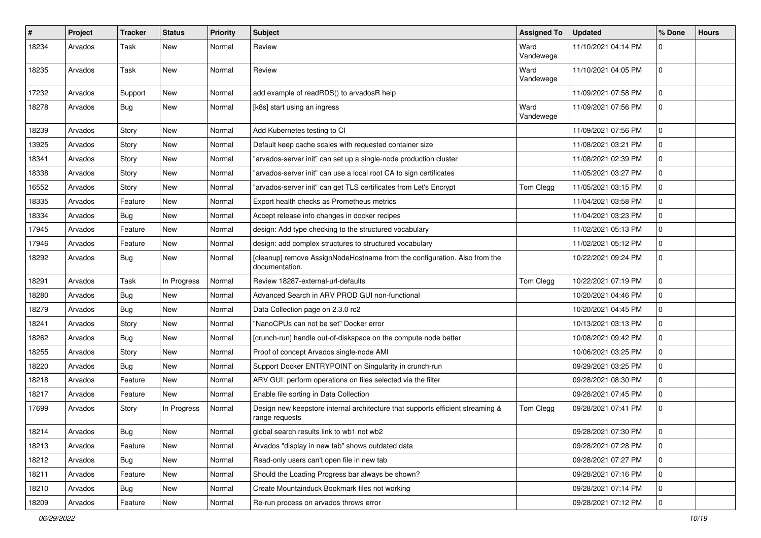| #     | Project | <b>Tracker</b> | <b>Status</b> | <b>Priority</b> | Subject                                                                                          | <b>Assigned To</b> | <b>Updated</b>      | % Done         | <b>Hours</b> |
|-------|---------|----------------|---------------|-----------------|--------------------------------------------------------------------------------------------------|--------------------|---------------------|----------------|--------------|
| 18234 | Arvados | Task           | New           | Normal          | Review                                                                                           | Ward<br>Vandewege  | 11/10/2021 04:14 PM | 0              |              |
| 18235 | Arvados | Task           | New           | Normal          | Review                                                                                           | Ward<br>Vandewege  | 11/10/2021 04:05 PM | $\mathbf 0$    |              |
| 17232 | Arvados | Support        | New           | Normal          | add example of readRDS() to arvadosR help                                                        |                    | 11/09/2021 07:58 PM | $\mathbf 0$    |              |
| 18278 | Arvados | <b>Bug</b>     | <b>New</b>    | Normal          | [k8s] start using an ingress                                                                     | Ward<br>Vandewege  | 11/09/2021 07:56 PM | $\mathbf 0$    |              |
| 18239 | Arvados | Story          | New           | Normal          | Add Kubernetes testing to CI                                                                     |                    | 11/09/2021 07:56 PM | 0              |              |
| 13925 | Arvados | Story          | New           | Normal          | Default keep cache scales with requested container size                                          |                    | 11/08/2021 03:21 PM | 0              |              |
| 18341 | Arvados | Story          | New           | Normal          | "arvados-server init" can set up a single-node production cluster                                |                    | 11/08/2021 02:39 PM | $\mathbf 0$    |              |
| 18338 | Arvados | Story          | New           | Normal          | "arvados-server init" can use a local root CA to sign certificates                               |                    | 11/05/2021 03:27 PM | $\mathbf 0$    |              |
| 16552 | Arvados | Story          | New           | Normal          | "arvados-server init" can get TLS certificates from Let's Encrypt                                | Tom Clegg          | 11/05/2021 03:15 PM | $\mathbf 0$    |              |
| 18335 | Arvados | Feature        | <b>New</b>    | Normal          | Export health checks as Prometheus metrics                                                       |                    | 11/04/2021 03:58 PM | $\mathbf 0$    |              |
| 18334 | Arvados | Bug            | <b>New</b>    | Normal          | Accept release info changes in docker recipes                                                    |                    | 11/04/2021 03:23 PM | $\mathbf 0$    |              |
| 17945 | Arvados | Feature        | <b>New</b>    | Normal          | design: Add type checking to the structured vocabulary                                           |                    | 11/02/2021 05:13 PM | $\mathbf 0$    |              |
| 17946 | Arvados | Feature        | New           | Normal          | design: add complex structures to structured vocabulary                                          |                    | 11/02/2021 05:12 PM | $\mathbf 0$    |              |
| 18292 | Arvados | Bug            | New           | Normal          | [cleanup] remove AssignNodeHostname from the configuration. Also from the<br>documentation.      |                    | 10/22/2021 09:24 PM | 0              |              |
| 18291 | Arvados | Task           | In Progress   | Normal          | Review 18287-external-url-defaults                                                               | Tom Clegg          | 10/22/2021 07:19 PM | $\mathbf 0$    |              |
| 18280 | Arvados | <b>Bug</b>     | New           | Normal          | Advanced Search in ARV PROD GUI non-functional                                                   |                    | 10/20/2021 04:46 PM | 0              |              |
| 18279 | Arvados | Bug            | New           | Normal          | Data Collection page on 2.3.0 rc2                                                                |                    | 10/20/2021 04:45 PM | 0              |              |
| 18241 | Arvados | Story          | New           | Normal          | "NanoCPUs can not be set" Docker error                                                           |                    | 10/13/2021 03:13 PM | 0              |              |
| 18262 | Arvados | <b>Bug</b>     | New           | Normal          | [crunch-run] handle out-of-diskspace on the compute node better                                  |                    | 10/08/2021 09:42 PM | $\mathbf 0$    |              |
| 18255 | Arvados | Story          | New           | Normal          | Proof of concept Arvados single-node AMI                                                         |                    | 10/06/2021 03:25 PM | $\mathbf 0$    |              |
| 18220 | Arvados | Bug            | New           | Normal          | Support Docker ENTRYPOINT on Singularity in crunch-run                                           |                    | 09/29/2021 03:25 PM | 0              |              |
| 18218 | Arvados | Feature        | <b>New</b>    | Normal          | ARV GUI: perform operations on files selected via the filter                                     |                    | 09/28/2021 08:30 PM | $\mathbf 0$    |              |
| 18217 | Arvados | Feature        | <b>New</b>    | Normal          | Enable file sorting in Data Collection                                                           |                    | 09/28/2021 07:45 PM | $\mathbf 0$    |              |
| 17699 | Arvados | Story          | In Progress   | Normal          | Design new keepstore internal architecture that supports efficient streaming &<br>range requests | Tom Clegg          | 09/28/2021 07:41 PM | $\Omega$       |              |
| 18214 | Arvados | <b>Bug</b>     | New           | Normal          | global search results link to wb1 not wb2                                                        |                    | 09/28/2021 07:30 PM |                |              |
| 18213 | Arvados | Feature        | <b>New</b>    | Normal          | Arvados "display in new tab" shows outdated data                                                 |                    | 09/28/2021 07:28 PM | $\overline{0}$ |              |
| 18212 | Arvados | Bug            | New           | Normal          | Read-only users can't open file in new tab                                                       |                    | 09/28/2021 07:27 PM | $\mathbf 0$    |              |
| 18211 | Arvados | Feature        | New           | Normal          | Should the Loading Progress bar always be shown?                                                 |                    | 09/28/2021 07:16 PM | 0              |              |
| 18210 | Arvados | <b>Bug</b>     | New           | Normal          | Create Mountainduck Bookmark files not working                                                   |                    | 09/28/2021 07:14 PM | $\mathbf 0$    |              |
| 18209 | Arvados | Feature        | New           | Normal          | Re-run process on arvados throws error                                                           |                    | 09/28/2021 07:12 PM | $\mathbf 0$    |              |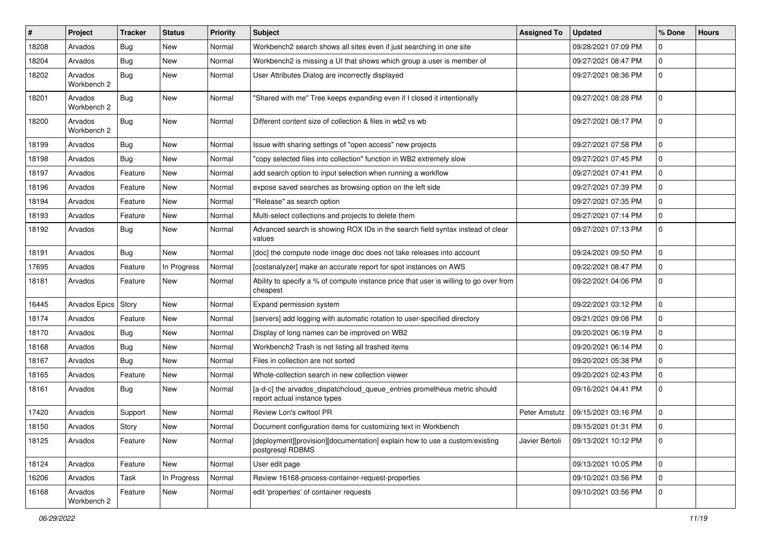| ∦     | Project                | Tracker    | <b>Status</b> | <b>Priority</b> | <b>Subject</b>                                                                                           | <b>Assigned To</b> | <b>Updated</b>      | % Done         | <b>Hours</b> |
|-------|------------------------|------------|---------------|-----------------|----------------------------------------------------------------------------------------------------------|--------------------|---------------------|----------------|--------------|
| 18208 | Arvados                | <b>Bug</b> | New           | Normal          | Workbench2 search shows all sites even if just searching in one site                                     |                    | 09/28/2021 07:09 PM | 0              |              |
| 18204 | Arvados                | Bug        | <b>New</b>    | Normal          | Workbench2 is missing a UI that shows which group a user is member of                                    |                    | 09/27/2021 08:47 PM | $\mathbf 0$    |              |
| 18202 | Arvados<br>Workbench 2 | Bug        | New           | Normal          | User Attributes Dialog are incorrectly displayed                                                         |                    | 09/27/2021 08:36 PM | $\mathbf 0$    |              |
| 18201 | Arvados<br>Workbench 2 | <b>Bug</b> | New           | Normal          | "Shared with me" Tree keeps expanding even if I closed it intentionally                                  |                    | 09/27/2021 08:28 PM | $\mathbf 0$    |              |
| 18200 | Arvados<br>Workbench 2 | Bug        | New           | Normal          | Different content size of collection & files in wb2 vs wb                                                |                    | 09/27/2021 08:17 PM | $\mathbf 0$    |              |
| 18199 | Arvados                | <b>Bug</b> | <b>New</b>    | Normal          | Issue with sharing settings of "open access" new projects                                                |                    | 09/27/2021 07:58 PM | $\mathbf 0$    |              |
| 18198 | Arvados                | <b>Bug</b> | New           | Normal          | "copy selected files into collection" function in WB2 extremely slow                                     |                    | 09/27/2021 07:45 PM | $\mathbf 0$    |              |
| 18197 | Arvados                | Feature    | New           | Normal          | add search option to input selection when running a workflow                                             |                    | 09/27/2021 07:41 PM | $\mathbf 0$    |              |
| 18196 | Arvados                | Feature    | New           | Normal          | expose saved searches as browsing option on the left side                                                |                    | 09/27/2021 07:39 PM | 0              |              |
| 18194 | Arvados                | Feature    | <b>New</b>    | Normal          | "Release" as search option                                                                               |                    | 09/27/2021 07:35 PM | $\mathbf 0$    |              |
| 18193 | Arvados                | Feature    | <b>New</b>    | Normal          | Multi-select collections and projects to delete them                                                     |                    | 09/27/2021 07:14 PM | 0              |              |
| 18192 | Arvados                | <b>Bug</b> | New           | Normal          | Advanced search is showing ROX IDs in the search field syntax instead of clear<br>values                 |                    | 09/27/2021 07:13 PM | $\mathbf 0$    |              |
| 18191 | Arvados                | <b>Bug</b> | <b>New</b>    | Normal          | [doc] the compute node image doc does not take releases into account                                     |                    | 09/24/2021 09:50 PM | $\mathbf 0$    |              |
| 17695 | Arvados                | Feature    | In Progress   | Normal          | [costanalyzer] make an accurate report for spot instances on AWS                                         |                    | 09/22/2021 08:47 PM | $\mathbf 0$    |              |
| 18181 | Arvados                | Feature    | New           | Normal          | Ability to specify a % of compute instance price that user is willing to go over from<br>cheapest        |                    | 09/22/2021 04:06 PM | $\mathbf 0$    |              |
| 16445 | Arvados Epics          | Story      | New           | Normal          | Expand permission system                                                                                 |                    | 09/22/2021 03:12 PM | $\mathbf 0$    |              |
| 18174 | Arvados                | Feature    | <b>New</b>    | Normal          | [servers] add logging with automatic rotation to user-specified directory                                |                    | 09/21/2021 09:08 PM | $\mathbf 0$    |              |
| 18170 | Arvados                | <b>Bug</b> | <b>New</b>    | Normal          | Display of long names can be improved on WB2                                                             |                    | 09/20/2021 06:19 PM | $\mathbf 0$    |              |
| 18168 | Arvados                | <b>Bug</b> | New           | Normal          | Workbench2 Trash is not listing all trashed items                                                        |                    | 09/20/2021 06:14 PM | 0              |              |
| 18167 | Arvados                | Bug        | New           | Normal          | Files in collection are not sorted                                                                       |                    | 09/20/2021 05:38 PM | 0              |              |
| 18165 | Arvados                | Feature    | <b>New</b>    | Normal          | Whole-collection search in new collection viewer                                                         |                    | 09/20/2021 02:43 PM | $\mathbf 0$    |              |
| 18161 | Arvados                | <b>Bug</b> | New           | Normal          | [a-d-c] the arvados_dispatchcloud_queue_entries prometheus metric should<br>report actual instance types |                    | 09/16/2021 04:41 PM | $\mathbf 0$    |              |
| 17420 | Arvados                | Support    | New           | Normal          | Review Lon's cwltool PR                                                                                  | Peter Amstutz      | 09/15/2021 03:16 PM | 0              |              |
| 18150 | Arvados                | Story      | New           | Normal          | Document configuration items for customizing text in Workbench                                           |                    | 09/15/2021 01:31 PM | 0              |              |
| 18125 | Arvados                | Feature    | New           | Normal          | [deployment][provision][documentation] explain how to use a custom/existing<br>postgresql RDBMS          | Javier Bértoli     | 09/13/2021 10:12 PM | 0              |              |
| 18124 | Arvados                | Feature    | New           | Normal          | User edit page                                                                                           |                    | 09/13/2021 10:05 PM | $\overline{0}$ |              |
| 16206 | Arvados                | Task       | In Progress   | Normal          | Review 16168-process-container-request-properties                                                        |                    | 09/10/2021 03:56 PM | $\mathbf 0$    |              |
| 16168 | Arvados<br>Workbench 2 | Feature    | New           | Normal          | edit 'properties' of container requests                                                                  |                    | 09/10/2021 03:56 PM | $\mathbf 0$    |              |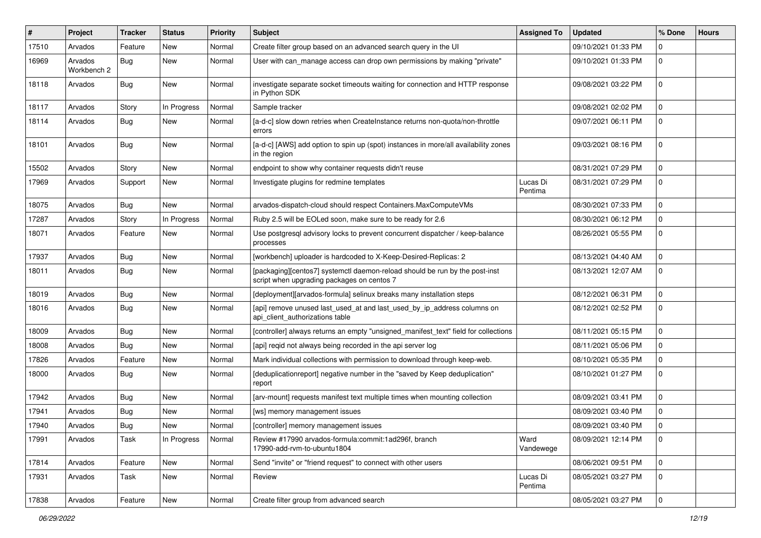| #     | Project                | <b>Tracker</b> | <b>Status</b> | <b>Priority</b> | Subject                                                                                                                   | <b>Assigned To</b>  | <b>Updated</b>      | % Done      | <b>Hours</b> |
|-------|------------------------|----------------|---------------|-----------------|---------------------------------------------------------------------------------------------------------------------------|---------------------|---------------------|-------------|--------------|
| 17510 | Arvados                | Feature        | New           | Normal          | Create filter group based on an advanced search query in the UI                                                           |                     | 09/10/2021 01:33 PM | 0           |              |
| 16969 | Arvados<br>Workbench 2 | Bug            | New           | Normal          | User with can_manage access can drop own permissions by making "private"                                                  |                     | 09/10/2021 01:33 PM | 0           |              |
| 18118 | Arvados                | Bug            | New           | Normal          | investigate separate socket timeouts waiting for connection and HTTP response<br>in Python SDK                            |                     | 09/08/2021 03:22 PM | $\Omega$    |              |
| 18117 | Arvados                | Story          | In Progress   | Normal          | Sample tracker                                                                                                            |                     | 09/08/2021 02:02 PM | $\Omega$    |              |
| 18114 | Arvados                | <b>Bug</b>     | <b>New</b>    | Normal          | [a-d-c] slow down retries when CreateInstance returns non-quota/non-throttle<br>errors                                    |                     | 09/07/2021 06:11 PM | $\Omega$    |              |
| 18101 | Arvados                | Bug            | New           | Normal          | [a-d-c] [AWS] add option to spin up (spot) instances in more/all availability zones<br>in the region                      |                     | 09/03/2021 08:16 PM | $\Omega$    |              |
| 15502 | Arvados                | Story          | New           | Normal          | endpoint to show why container requests didn't reuse                                                                      |                     | 08/31/2021 07:29 PM | $\mathbf 0$ |              |
| 17969 | Arvados                | Support        | New           | Normal          | Investigate plugins for redmine templates                                                                                 | Lucas Di<br>Pentima | 08/31/2021 07:29 PM | $\Omega$    |              |
| 18075 | Arvados                | Bug            | New           | Normal          | arvados-dispatch-cloud should respect Containers.MaxComputeVMs                                                            |                     | 08/30/2021 07:33 PM | $\mathbf 0$ |              |
| 17287 | Arvados                | Story          | In Progress   | Normal          | Ruby 2.5 will be EOLed soon, make sure to be ready for 2.6                                                                |                     | 08/30/2021 06:12 PM | 0           |              |
| 18071 | Arvados                | Feature        | New           | Normal          | Use postgresql advisory locks to prevent concurrent dispatcher / keep-balance<br>processes                                |                     | 08/26/2021 05:55 PM | $\Omega$    |              |
| 17937 | Arvados                | Bug            | <b>New</b>    | Normal          | [workbench] uploader is hardcoded to X-Keep-Desired-Replicas: 2                                                           |                     | 08/13/2021 04:40 AM | $\Omega$    |              |
| 18011 | Arvados                | Bug            | New           | Normal          | [packaging][centos7] systemctl daemon-reload should be run by the post-inst<br>script when upgrading packages on centos 7 |                     | 08/13/2021 12:07 AM | $\mathbf 0$ |              |
| 18019 | Arvados                | <b>Bug</b>     | <b>New</b>    | Normal          | [deployment][arvados-formula] selinux breaks many installation steps                                                      |                     | 08/12/2021 06:31 PM | 0           |              |
| 18016 | Arvados                | Bug            | New           | Normal          | [api] remove unused last_used_at and last_used_by_ip_address columns on<br>api_client_authorizations table                |                     | 08/12/2021 02:52 PM | $\Omega$    |              |
| 18009 | Arvados                | Bug            | <b>New</b>    | Normal          | [controller] always returns an empty "unsigned_manifest_text" field for collections                                       |                     | 08/11/2021 05:15 PM | 0           |              |
| 18008 | Arvados                | Bug            | New           | Normal          | [api] reqid not always being recorded in the api server log                                                               |                     | 08/11/2021 05:06 PM | 0           |              |
| 17826 | Arvados                | Feature        | <b>New</b>    | Normal          | Mark individual collections with permission to download through keep-web.                                                 |                     | 08/10/2021 05:35 PM | 0           |              |
| 18000 | Arvados                | Bug            | New           | Normal          | [deduplicationreport] negative number in the "saved by Keep deduplication"<br>report                                      |                     | 08/10/2021 01:27 PM | 0           |              |
| 17942 | Arvados                | <b>Bug</b>     | <b>New</b>    | Normal          | [arv-mount] requests manifest text multiple times when mounting collection                                                |                     | 08/09/2021 03:41 PM | 0           |              |
| 17941 | Arvados                | Bug            | New           | Normal          | [ws] memory management issues                                                                                             |                     | 08/09/2021 03:40 PM | $\mathbf 0$ |              |
| 17940 | Arvados                | Bug            | <b>New</b>    | Normal          | [controller] memory management issues                                                                                     |                     | 08/09/2021 03:40 PM | 0           |              |
| 17991 | Arvados                | Task           | In Progress   | Normal          | Review #17990 arvados-formula:commit:1ad296f, branch<br>17990-add-rvm-to-ubuntu1804                                       | Ward<br>Vandewege   | 08/09/2021 12:14 PM | $\mathbf 0$ |              |
| 17814 | Arvados                | Feature        | New           | Normal          | Send "invite" or "friend request" to connect with other users                                                             |                     | 08/06/2021 09:51 PM | $\mathbf 0$ |              |
| 17931 | Arvados                | Task           | New           | Normal          | Review                                                                                                                    | Lucas Di<br>Pentima | 08/05/2021 03:27 PM | $\mathbf 0$ |              |
| 17838 | Arvados                | Feature        | New           | Normal          | Create filter group from advanced search                                                                                  |                     | 08/05/2021 03:27 PM | $\mathbf 0$ |              |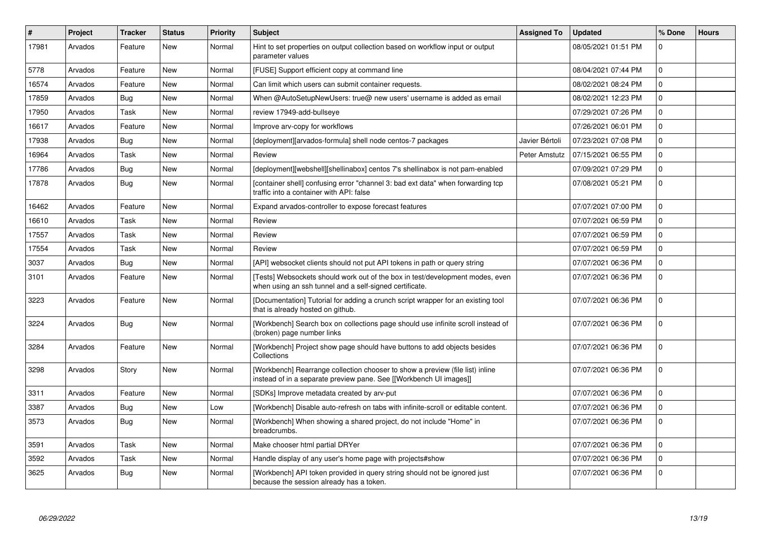| #     | Project | <b>Tracker</b> | <b>Status</b> | Priority | <b>Subject</b>                                                                                                                                      | <b>Assigned To</b> | <b>Updated</b>      | % Done   | <b>Hours</b> |
|-------|---------|----------------|---------------|----------|-----------------------------------------------------------------------------------------------------------------------------------------------------|--------------------|---------------------|----------|--------------|
| 17981 | Arvados | Feature        | New           | Normal   | Hint to set properties on output collection based on workflow input or output<br>parameter values                                                   |                    | 08/05/2021 01:51 PM | U        |              |
| 5778  | Arvados | Feature        | <b>New</b>    | Normal   | [FUSE] Support efficient copy at command line                                                                                                       |                    | 08/04/2021 07:44 PM | $\Omega$ |              |
| 16574 | Arvados | Feature        | New           | Normal   | Can limit which users can submit container requests.                                                                                                |                    | 08/02/2021 08:24 PM | $\Omega$ |              |
| 17859 | Arvados | Bug            | <b>New</b>    | Normal   | When @AutoSetupNewUsers: true@ new users' username is added as email                                                                                |                    | 08/02/2021 12:23 PM | $\Omega$ |              |
| 17950 | Arvados | Task           | <b>New</b>    | Normal   | review 17949-add-bullseye                                                                                                                           |                    | 07/29/2021 07:26 PM | $\Omega$ |              |
| 16617 | Arvados | Feature        | <b>New</b>    | Normal   | Improve arv-copy for workflows                                                                                                                      |                    | 07/26/2021 06:01 PM | $\Omega$ |              |
| 17938 | Arvados | Bug            | <b>New</b>    | Normal   | [deployment][arvados-formula] shell node centos-7 packages                                                                                          | Javier Bértoli     | 07/23/2021 07:08 PM | $\Omega$ |              |
| 16964 | Arvados | Task           | New           | Normal   | Review                                                                                                                                              | Peter Amstutz      | 07/15/2021 06:55 PM | $\Omega$ |              |
| 17786 | Arvados | Bug            | New           | Normal   | [deployment][webshell][shellinabox] centos 7's shellinabox is not pam-enabled                                                                       |                    | 07/09/2021 07:29 PM | $\Omega$ |              |
| 17878 | Arvados | Bug            | New           | Normal   | [container shell] confusing error "channel 3: bad ext data" when forwarding tcp<br>traffic into a container with API: false                         |                    | 07/08/2021 05:21 PM | $\Omega$ |              |
| 16462 | Arvados | Feature        | New           | Normal   | Expand arvados-controller to expose forecast features                                                                                               |                    | 07/07/2021 07:00 PM | $\Omega$ |              |
| 16610 | Arvados | Task           | New           | Normal   | Review                                                                                                                                              |                    | 07/07/2021 06:59 PM | $\Omega$ |              |
| 17557 | Arvados | Task           | <b>New</b>    | Normal   | Review                                                                                                                                              |                    | 07/07/2021 06:59 PM | $\Omega$ |              |
| 17554 | Arvados | Task           | New           | Normal   | Review                                                                                                                                              |                    | 07/07/2021 06:59 PM | $\Omega$ |              |
| 3037  | Arvados | Bug            | <b>New</b>    | Normal   | [API] websocket clients should not put API tokens in path or query string                                                                           |                    | 07/07/2021 06:36 PM | $\Omega$ |              |
| 3101  | Arvados | Feature        | New           | Normal   | [Tests] Websockets should work out of the box in test/development modes, even<br>when using an ssh tunnel and a self-signed certificate.            |                    | 07/07/2021 06:36 PM | $\Omega$ |              |
| 3223  | Arvados | Feature        | New           | Normal   | [Documentation] Tutorial for adding a crunch script wrapper for an existing tool<br>that is already hosted on github.                               |                    | 07/07/2021 06:36 PM | $\Omega$ |              |
| 3224  | Arvados | <b>Bug</b>     | <b>New</b>    | Normal   | [Workbench] Search box on collections page should use infinite scroll instead of<br>(broken) page number links                                      |                    | 07/07/2021 06:36 PM | $\Omega$ |              |
| 3284  | Arvados | Feature        | <b>New</b>    | Normal   | [Workbench] Project show page should have buttons to add objects besides<br>Collections                                                             |                    | 07/07/2021 06:36 PM | $\Omega$ |              |
| 3298  | Arvados | Story          | <b>New</b>    | Normal   | [Workbench] Rearrange collection chooser to show a preview (file list) inline<br>instead of in a separate preview pane. See [[Workbench UI images]] |                    | 07/07/2021 06:36 PM | $\Omega$ |              |
| 3311  | Arvados | Feature        | New           | Normal   | [SDKs] Improve metadata created by arv-put                                                                                                          |                    | 07/07/2021 06:36 PM | $\Omega$ |              |
| 3387  | Arvados | <b>Bug</b>     | <b>New</b>    | Low      | [Workbench] Disable auto-refresh on tabs with infinite-scroll or editable content.                                                                  |                    | 07/07/2021 06:36 PM | $\Omega$ |              |
| 3573  | Arvados | Bug            | New           | Normal   | [Workbench] When showing a shared project, do not include "Home" in<br>breadcrumbs.                                                                 |                    | 07/07/2021 06:36 PM | $\Omega$ |              |
| 3591  | Arvados | Task           | New           | Normal   | Make chooser html partial DRYer                                                                                                                     |                    | 07/07/2021 06:36 PM | $\Omega$ |              |
| 3592  | Arvados | Task           | <b>New</b>    | Normal   | Handle display of any user's home page with projects#show                                                                                           |                    | 07/07/2021 06:36 PM | $\Omega$ |              |
| 3625  | Arvados | <b>Bug</b>     | New           | Normal   | [Workbench] API token provided in query string should not be ignored just<br>because the session already has a token.                               |                    | 07/07/2021 06:36 PM | $\Omega$ |              |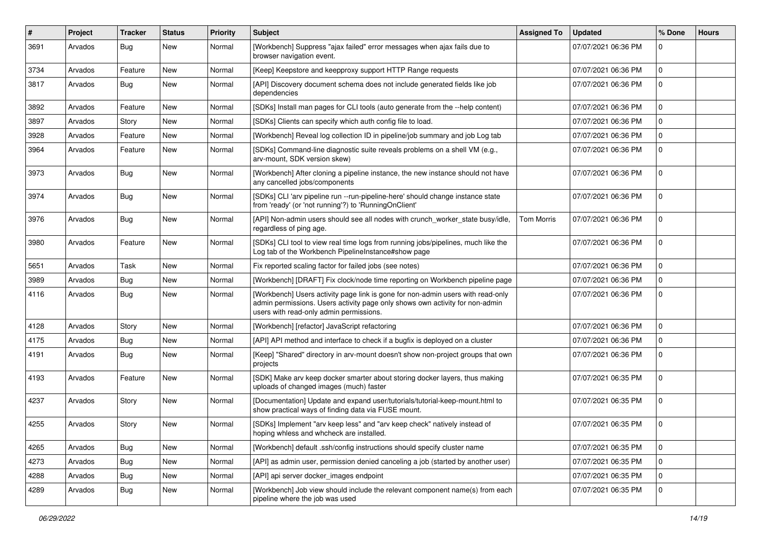| $\vert$ # | Project | Tracker    | <b>Status</b> | <b>Priority</b> | <b>Subject</b>                                                                                                                                                                                             | <b>Assigned To</b> | <b>Updated</b>      | % Done         | <b>Hours</b> |
|-----------|---------|------------|---------------|-----------------|------------------------------------------------------------------------------------------------------------------------------------------------------------------------------------------------------------|--------------------|---------------------|----------------|--------------|
| 3691      | Arvados | Bug        | New           | Normal          | [Workbench] Suppress "ajax failed" error messages when ajax fails due to<br>browser navigation event.                                                                                                      |                    | 07/07/2021 06:36 PM | 0              |              |
| 3734      | Arvados | Feature    | New           | Normal          | [Keep] Keepstore and keepproxy support HTTP Range requests                                                                                                                                                 |                    | 07/07/2021 06:36 PM | $\mathbf 0$    |              |
| 3817      | Arvados | <b>Bug</b> | New           | Normal          | [API] Discovery document schema does not include generated fields like job<br>dependencies                                                                                                                 |                    | 07/07/2021 06:36 PM | 0              |              |
| 3892      | Arvados | Feature    | New           | Normal          | [SDKs] Install man pages for CLI tools (auto generate from the --help content)                                                                                                                             |                    | 07/07/2021 06:36 PM | $\mathbf 0$    |              |
| 3897      | Arvados | Story      | <b>New</b>    | Normal          | [SDKs] Clients can specify which auth config file to load.                                                                                                                                                 |                    | 07/07/2021 06:36 PM | $\mathbf 0$    |              |
| 3928      | Arvados | Feature    | New           | Normal          | [Workbench] Reveal log collection ID in pipeline/job summary and job Log tab                                                                                                                               |                    | 07/07/2021 06:36 PM | 0              |              |
| 3964      | Arvados | Feature    | New           | Normal          | [SDKs] Command-line diagnostic suite reveals problems on a shell VM (e.g.,<br>arv-mount, SDK version skew)                                                                                                 |                    | 07/07/2021 06:36 PM | $\mathbf 0$    |              |
| 3973      | Arvados | Bug        | New           | Normal          | [Workbench] After cloning a pipeline instance, the new instance should not have<br>any cancelled jobs/components                                                                                           |                    | 07/07/2021 06:36 PM | $\mathbf 0$    |              |
| 3974      | Arvados | <b>Bug</b> | New           | Normal          | [SDKs] CLI 'arv pipeline run --run-pipeline-here' should change instance state<br>from 'ready' (or 'not running'?) to 'RunningOnClient'                                                                    |                    | 07/07/2021 06:36 PM | $\mathbf 0$    |              |
| 3976      | Arvados | Bug        | New           | Normal          | [API] Non-admin users should see all nodes with crunch_worker_state busy/idle,<br>regardless of ping age.                                                                                                  | <b>Tom Morris</b>  | 07/07/2021 06:36 PM | $\mathbf 0$    |              |
| 3980      | Arvados | Feature    | New           | Normal          | [SDKs] CLI tool to view real time logs from running jobs/pipelines, much like the<br>Log tab of the Workbench PipelineInstance#show page                                                                   |                    | 07/07/2021 06:36 PM | $\mathbf 0$    |              |
| 5651      | Arvados | Task       | New           | Normal          | Fix reported scaling factor for failed jobs (see notes)                                                                                                                                                    |                    | 07/07/2021 06:36 PM | $\mathbf 0$    |              |
| 3989      | Arvados | <b>Bug</b> | New           | Normal          | [Workbench] [DRAFT] Fix clock/node time reporting on Workbench pipeline page                                                                                                                               |                    | 07/07/2021 06:36 PM | $\Omega$       |              |
| 4116      | Arvados | <b>Bug</b> | New           | Normal          | [Workbench] Users activity page link is gone for non-admin users with read-only<br>admin permissions. Users activity page only shows own activity for non-admin<br>users with read-only admin permissions. |                    | 07/07/2021 06:36 PM | $\overline{0}$ |              |
| 4128      | Arvados | Story      | New           | Normal          | [Workbench] [refactor] JavaScript refactoring                                                                                                                                                              |                    | 07/07/2021 06:36 PM | $\mathbf 0$    |              |
| 4175      | Arvados | Bug        | New           | Normal          | [API] API method and interface to check if a bugfix is deployed on a cluster                                                                                                                               |                    | 07/07/2021 06:36 PM | $\mathbf 0$    |              |
| 4191      | Arvados | Bug        | New           | Normal          | [Keep] "Shared" directory in arv-mount doesn't show non-project groups that own<br>projects                                                                                                                |                    | 07/07/2021 06:36 PM | $\Omega$       |              |
| 4193      | Arvados | Feature    | New           | Normal          | [SDK] Make arv keep docker smarter about storing docker layers, thus making<br>uploads of changed images (much) faster                                                                                     |                    | 07/07/2021 06:35 PM | $\mathbf 0$    |              |
| 4237      | Arvados | Story      | New           | Normal          | [Documentation] Update and expand user/tutorials/tutorial-keep-mount.html to<br>show practical ways of finding data via FUSE mount.                                                                        |                    | 07/07/2021 06:35 PM | $\mathbf 0$    |              |
| 4255      | Arvados | Story      | New           | Normal          | [SDKs] Implement "arv keep less" and "arv keep check" natively instead of<br>hoping whless and whcheck are installed.                                                                                      |                    | 07/07/2021 06:35 PM | $\mathbf 0$    |              |
| 4265      | Arvados | Bug        | New           | Normal          | [Workbench] default .ssh/config instructions should specify cluster name                                                                                                                                   |                    | 07/07/2021 06:35 PM | $\mathbf{0}$   |              |
| 4273      | Arvados | <b>Bug</b> | New           | Normal          | [API] as admin user, permission denied canceling a job (started by another user)                                                                                                                           |                    | 07/07/2021 06:35 PM | $\mathbf 0$    |              |
| 4288      | Arvados | Bug        | New           | Normal          | [API] api server docker_images endpoint                                                                                                                                                                    |                    | 07/07/2021 06:35 PM | $\mathbf{0}$   |              |
| 4289      | Arvados | <b>Bug</b> | New           | Normal          | [Workbench] Job view should include the relevant component name(s) from each<br>pipeline where the job was used                                                                                            |                    | 07/07/2021 06:35 PM | $\mathbf 0$    |              |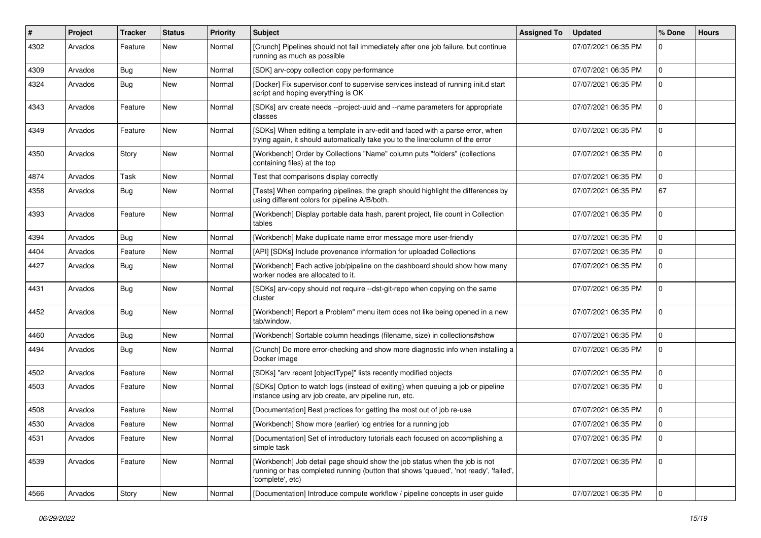| #    | Project | <b>Tracker</b> | <b>Status</b> | <b>Priority</b> | Subject                                                                                                                                                                                | <b>Assigned To</b> | <b>Updated</b>      | % Done      | <b>Hours</b> |
|------|---------|----------------|---------------|-----------------|----------------------------------------------------------------------------------------------------------------------------------------------------------------------------------------|--------------------|---------------------|-------------|--------------|
| 4302 | Arvados | Feature        | New           | Normal          | [Crunch] Pipelines should not fail immediately after one job failure, but continue<br>running as much as possible                                                                      |                    | 07/07/2021 06:35 PM |             |              |
| 4309 | Arvados | <b>Bug</b>     | New           | Normal          | [SDK] arv-copy collection copy performance                                                                                                                                             |                    | 07/07/2021 06:35 PM | $\Omega$    |              |
| 4324 | Arvados | Bug            | New           | Normal          | [Docker] Fix supervisor.conf to supervise services instead of running init.d start<br>script and hoping everything is OK                                                               |                    | 07/07/2021 06:35 PM |             |              |
| 4343 | Arvados | Feature        | <b>New</b>    | Normal          | [SDKs] arv create needs --project-uuid and --name parameters for appropriate<br>classes                                                                                                |                    | 07/07/2021 06:35 PM |             |              |
| 4349 | Arvados | Feature        | <b>New</b>    | Normal          | [SDKs] When editing a template in arv-edit and faced with a parse error, when<br>trying again, it should automatically take you to the line/column of the error                        |                    | 07/07/2021 06:35 PM | $\Omega$    |              |
| 4350 | Arvados | Story          | <b>New</b>    | Normal          | [Workbench] Order by Collections "Name" column puts "folders" (collections<br>containing files) at the top                                                                             |                    | 07/07/2021 06:35 PM | $\Omega$    |              |
| 4874 | Arvados | Task           | New           | Normal          | Test that comparisons display correctly                                                                                                                                                |                    | 07/07/2021 06:35 PM | 0           |              |
| 4358 | Arvados | <b>Bug</b>     | <b>New</b>    | Normal          | [Tests] When comparing pipelines, the graph should highlight the differences by<br>using different colors for pipeline A/B/both.                                                       |                    | 07/07/2021 06:35 PM | 67          |              |
| 4393 | Arvados | Feature        | <b>New</b>    | Normal          | [Workbench] Display portable data hash, parent project, file count in Collection<br>tables                                                                                             |                    | 07/07/2021 06:35 PM | $\Omega$    |              |
| 4394 | Arvados | <b>Bug</b>     | <b>New</b>    | Normal          | [Workbench] Make duplicate name error message more user-friendly                                                                                                                       |                    | 07/07/2021 06:35 PM | $\Omega$    |              |
| 4404 | Arvados | Feature        | <b>New</b>    | Normal          | [API] [SDKs] Include provenance information for uploaded Collections                                                                                                                   |                    | 07/07/2021 06:35 PM | $\Omega$    |              |
| 4427 | Arvados | Bug            | New           | Normal          | [Workbench] Each active job/pipeline on the dashboard should show how many<br>worker nodes are allocated to it.                                                                        |                    | 07/07/2021 06:35 PM | $\Omega$    |              |
| 4431 | Arvados | Bug            | <b>New</b>    | Normal          | [SDKs] arv-copy should not require --dst-git-repo when copying on the same<br>cluster                                                                                                  |                    | 07/07/2021 06:35 PM | $\Omega$    |              |
| 4452 | Arvados | Bug            | New           | Normal          | [Workbench] Report a Problem" menu item does not like being opened in a new<br>tab/window.                                                                                             |                    | 07/07/2021 06:35 PM | $\Omega$    |              |
| 4460 | Arvados | <b>Bug</b>     | New           | Normal          | [Workbench] Sortable column headings (filename, size) in collections#show                                                                                                              |                    | 07/07/2021 06:35 PM | 0           |              |
| 4494 | Arvados | Bug            | New           | Normal          | [Crunch] Do more error-checking and show more diagnostic info when installing a<br>Docker image                                                                                        |                    | 07/07/2021 06:35 PM | $\Omega$    |              |
| 4502 | Arvados | Feature        | <b>New</b>    | Normal          | [SDKs] "arv recent [objectType]" lists recently modified objects                                                                                                                       |                    | 07/07/2021 06:35 PM | 0           |              |
| 4503 | Arvados | Feature        | New           | Normal          | [SDKs] Option to watch logs (instead of exiting) when queuing a job or pipeline<br>instance using arv job create, arv pipeline run, etc.                                               |                    | 07/07/2021 06:35 PM |             |              |
| 4508 | Arvados | Feature        | New           | Normal          | [Documentation] Best practices for getting the most out of job re-use                                                                                                                  |                    | 07/07/2021 06:35 PM | $\Omega$    |              |
| 4530 | Arvados | Feature        | <b>New</b>    | Normal          | [Workbench] Show more (earlier) log entries for a running job                                                                                                                          |                    | 07/07/2021 06:35 PM | $\Omega$    |              |
| 4531 | Arvados | Feature        | New           | Normal          | [Documentation] Set of introductory tutorials each focused on accomplishing a<br>simple task                                                                                           |                    | 07/07/2021 06:35 PM | l 0         |              |
| 4539 | Arvados | Feature        | New           | Normal          | [Workbench] Job detail page should show the job status when the job is not<br>running or has completed running (button that shows 'queued', 'not ready', 'failed',<br>'complete', etc) |                    | 07/07/2021 06:35 PM | $\Omega$    |              |
| 4566 | Arvados | Story          | New           | Normal          | [Documentation] Introduce compute workflow / pipeline concepts in user guide                                                                                                           |                    | 07/07/2021 06:35 PM | $\mathbf 0$ |              |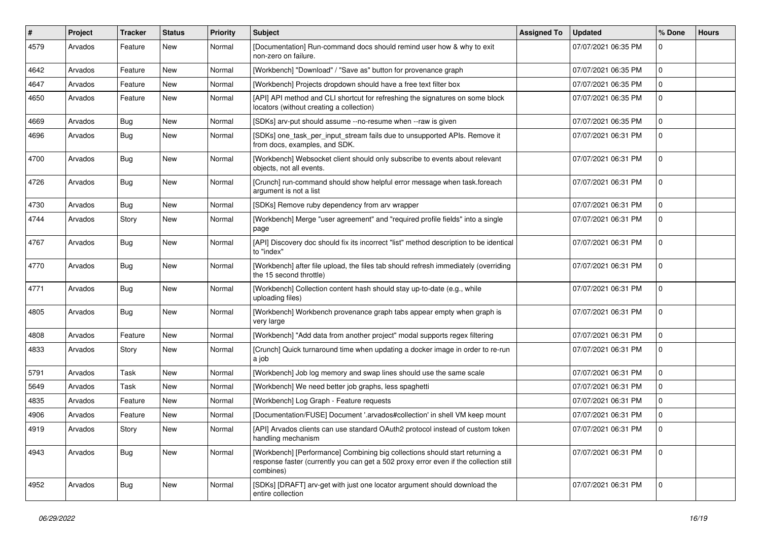| #    | <b>Project</b> | <b>Tracker</b> | <b>Status</b> | <b>Priority</b> | <b>Subject</b>                                                                                                                                                                     | <b>Assigned To</b> | <b>Updated</b>      | % Done       | <b>Hours</b> |
|------|----------------|----------------|---------------|-----------------|------------------------------------------------------------------------------------------------------------------------------------------------------------------------------------|--------------------|---------------------|--------------|--------------|
| 4579 | Arvados        | Feature        | New           | Normal          | [Documentation] Run-command docs should remind user how & why to exit<br>non-zero on failure.                                                                                      |                    | 07/07/2021 06:35 PM | U            |              |
| 4642 | Arvados        | Feature        | New           | Normal          | [Workbench] "Download" / "Save as" button for provenance graph                                                                                                                     |                    | 07/07/2021 06:35 PM | 0            |              |
| 4647 | Arvados        | Feature        | New           | Normal          | [Workbench] Projects dropdown should have a free text filter box                                                                                                                   |                    | 07/07/2021 06:35 PM |              |              |
| 4650 | Arvados        | Feature        | New           | Normal          | [API] API method and CLI shortcut for refreshing the signatures on some block<br>locators (without creating a collection)                                                          |                    | 07/07/2021 06:35 PM | $\Omega$     |              |
| 4669 | Arvados        | <b>Bug</b>     | New           | Normal          | [SDKs] arv-put should assume --no-resume when --raw is given                                                                                                                       |                    | 07/07/2021 06:35 PM | 0            |              |
| 4696 | Arvados        | <b>Bug</b>     | New           | Normal          | [SDKs] one_task_per_input_stream fails due to unsupported APIs. Remove it<br>from docs, examples, and SDK.                                                                         |                    | 07/07/2021 06:31 PM | $\Omega$     |              |
| 4700 | Arvados        | <b>Bug</b>     | New           | Normal          | [Workbench] Websocket client should only subscribe to events about relevant<br>objects, not all events.                                                                            |                    | 07/07/2021 06:31 PM | $\Omega$     |              |
| 4726 | Arvados        | <b>Bug</b>     | New           | Normal          | [Crunch] run-command should show helpful error message when task.foreach<br>argument is not a list                                                                                 |                    | 07/07/2021 06:31 PM | 0            |              |
| 4730 | Arvados        | Bug            | New           | Normal          | [SDKs] Remove ruby dependency from arv wrapper                                                                                                                                     |                    | 07/07/2021 06:31 PM | 0            |              |
| 4744 | Arvados        | Story          | New           | Normal          | [Workbench] Merge "user agreement" and "required profile fields" into a single<br>page                                                                                             |                    | 07/07/2021 06:31 PM | 0            |              |
| 4767 | Arvados        | <b>Bug</b>     | New           | Normal          | [API] Discovery doc should fix its incorrect "list" method description to be identical<br>to "index"                                                                               |                    | 07/07/2021 06:31 PM | 0            |              |
| 4770 | Arvados        | <b>Bug</b>     | New           | Normal          | [Workbench] after file upload, the files tab should refresh immediately (overriding<br>the 15 second throttle)                                                                     |                    | 07/07/2021 06:31 PM | $\Omega$     |              |
| 4771 | Arvados        | <b>Bug</b>     | New           | Normal          | [Workbench] Collection content hash should stay up-to-date (e.g., while<br>uploading files)                                                                                        |                    | 07/07/2021 06:31 PM | 0            |              |
| 4805 | Arvados        | <b>Bug</b>     | New           | Normal          | [Workbench] Workbench provenance graph tabs appear empty when graph is<br>very large                                                                                               |                    | 07/07/2021 06:31 PM | 0            |              |
| 4808 | Arvados        | Feature        | New           | Normal          | [Workbench] "Add data from another project" modal supports regex filtering                                                                                                         |                    | 07/07/2021 06:31 PM | 0            |              |
| 4833 | Arvados        | Story          | New           | Normal          | [Crunch] Quick turnaround time when updating a docker image in order to re-run<br>a job                                                                                            |                    | 07/07/2021 06:31 PM | 0            |              |
| 5791 | Arvados        | Task           | New           | Normal          | [Workbench] Job log memory and swap lines should use the same scale                                                                                                                |                    | 07/07/2021 06:31 PM | 0            |              |
| 5649 | Arvados        | Task           | New           | Normal          | [Workbench] We need better job graphs, less spaghetti                                                                                                                              |                    | 07/07/2021 06:31 PM | 0            |              |
| 4835 | Arvados        | Feature        | New           | Normal          | [Workbench] Log Graph - Feature requests                                                                                                                                           |                    | 07/07/2021 06:31 PM | 0            |              |
| 4906 | Arvados        | Feature        | New           | Normal          | [Documentation/FUSE] Document '.arvados#collection' in shell VM keep mount                                                                                                         |                    | 07/07/2021 06:31 PM |              |              |
| 4919 | Arvados        | Story          | New           | Normal          | [API] Arvados clients can use standard OAuth2 protocol instead of custom token<br>handling mechanism                                                                               |                    | 07/07/2021 06:31 PM | $\Omega$     |              |
| 4943 | Arvados        | Bug            | New           | Normal          | [Workbench] [Performance] Combining big collections should start returning a<br>response faster (currently you can get a 502 proxy error even if the collection still<br>combines) |                    | 07/07/2021 06:31 PM | $\mathbf{0}$ |              |
| 4952 | Arvados        | <b>Bug</b>     | New           | Normal          | [SDKs] [DRAFT] arv-get with just one locator argument should download the<br>entire collection                                                                                     |                    | 07/07/2021 06:31 PM | $\Omega$     |              |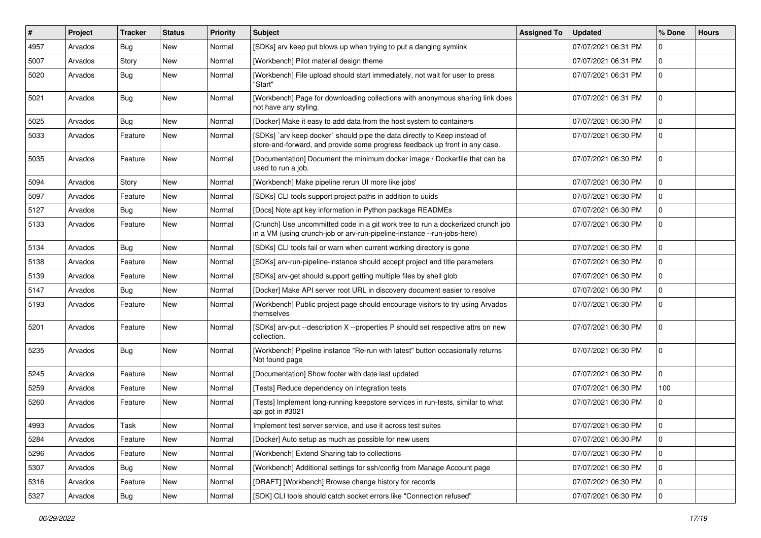| $\#$ | Project | <b>Tracker</b> | <b>Status</b> | <b>Priority</b> | <b>Subject</b>                                                                                                                                             | <b>Assigned To</b> | <b>Updated</b>      | % Done       | <b>Hours</b> |
|------|---------|----------------|---------------|-----------------|------------------------------------------------------------------------------------------------------------------------------------------------------------|--------------------|---------------------|--------------|--------------|
| 4957 | Arvados | <b>Bug</b>     | New           | Normal          | [SDKs] arv keep put blows up when trying to put a danging symlink                                                                                          |                    | 07/07/2021 06:31 PM | 0            |              |
| 5007 | Arvados | Story          | New           | Normal          | [Workbench] Pilot material design theme                                                                                                                    |                    | 07/07/2021 06:31 PM | $\Omega$     |              |
| 5020 | Arvados | Bug            | New           | Normal          | [Workbench] File upload should start immediately, not wait for user to press<br>"Start"                                                                    |                    | 07/07/2021 06:31 PM | $\Omega$     |              |
| 5021 | Arvados | <b>Bug</b>     | <b>New</b>    | Normal          | [Workbench] Page for downloading collections with anonymous sharing link does<br>not have any styling.                                                     |                    | 07/07/2021 06:31 PM | $\Omega$     |              |
| 5025 | Arvados | Bug            | New           | Normal          | [Docker] Make it easy to add data from the host system to containers                                                                                       |                    | 07/07/2021 06:30 PM | $\Omega$     |              |
| 5033 | Arvados | Feature        | New           | Normal          | [SDKs] `arv keep docker` should pipe the data directly to Keep instead of<br>store-and-forward, and provide some progress feedback up front in any case.   |                    | 07/07/2021 06:30 PM | $\Omega$     |              |
| 5035 | Arvados | Feature        | <b>New</b>    | Normal          | [Documentation] Document the minimum docker image / Dockerfile that can be<br>used to run a job.                                                           |                    | 07/07/2021 06:30 PM | $\Omega$     |              |
| 5094 | Arvados | Story          | New           | Normal          | [Workbench] Make pipeline rerun UI more like jobs'                                                                                                         |                    | 07/07/2021 06:30 PM | $\Omega$     |              |
| 5097 | Arvados | Feature        | New           | Normal          | [SDKs] CLI tools support project paths in addition to uuids                                                                                                |                    | 07/07/2021 06:30 PM | $\Omega$     |              |
| 5127 | Arvados | Bug            | New           | Normal          | [Docs] Note apt key information in Python package READMEs                                                                                                  |                    | 07/07/2021 06:30 PM | <sup>0</sup> |              |
| 5133 | Arvados | Feature        | New           | Normal          | [Crunch] Use uncommitted code in a git work tree to run a dockerized crunch job<br>in a VM (using crunch-job or arv-run-pipeline-instance --run-jobs-here) |                    | 07/07/2021 06:30 PM |              |              |
| 5134 | Arvados | Bug            | New           | Normal          | [SDKs] CLI tools fail or warn when current working directory is gone                                                                                       |                    | 07/07/2021 06:30 PM | $\Omega$     |              |
| 5138 | Arvados | Feature        | <b>New</b>    | Normal          | [SDKs] arv-run-pipeline-instance should accept project and title parameters                                                                                |                    | 07/07/2021 06:30 PM | $\Omega$     |              |
| 5139 | Arvados | Feature        | New           | Normal          | [SDKs] arv-get should support getting multiple files by shell glob                                                                                         |                    | 07/07/2021 06:30 PM | $\Omega$     |              |
| 5147 | Arvados | Bug            | New           | Normal          | [Docker] Make API server root URL in discovery document easier to resolve                                                                                  |                    | 07/07/2021 06:30 PM |              |              |
| 5193 | Arvados | Feature        | New           | Normal          | [Workbench] Public project page should encourage visitors to try using Arvados<br>themselves                                                               |                    | 07/07/2021 06:30 PM | $\Omega$     |              |
| 5201 | Arvados | Feature        | New           | Normal          | [SDKs] arv-put --description X --properties P should set respective attrs on new<br>collection.                                                            |                    | 07/07/2021 06:30 PM | $\Omega$     |              |
| 5235 | Arvados | Bug            | New           | Normal          | [Workbench] Pipeline instance "Re-run with latest" button occasionally returns<br>Not found page                                                           |                    | 07/07/2021 06:30 PM | $\Omega$     |              |
| 5245 | Arvados | Feature        | New           | Normal          | [Documentation] Show footer with date last updated                                                                                                         |                    | 07/07/2021 06:30 PM | 0            |              |
| 5259 | Arvados | Feature        | New           | Normal          | [Tests] Reduce dependency on integration tests                                                                                                             |                    | 07/07/2021 06:30 PM | 100          |              |
| 5260 | Arvados | Feature        | New           | Normal          | [Tests] Implement long-running keepstore services in run-tests, similar to what<br>api got in #3021                                                        |                    | 07/07/2021 06:30 PM | $\Omega$     |              |
| 4993 | Arvados | Task           | New           | Normal          | Implement test server service, and use it across test suites                                                                                               |                    | 07/07/2021 06:30 PM | $\Omega$     |              |
| 5284 | Arvados | Feature        | New           | Normal          | [Docker] Auto setup as much as possible for new users                                                                                                      |                    | 07/07/2021 06:30 PM | $\mathbf 0$  |              |
| 5296 | Arvados | Feature        | New           | Normal          | [Workbench] Extend Sharing tab to collections                                                                                                              |                    | 07/07/2021 06:30 PM | 0            |              |
| 5307 | Arvados | <b>Bug</b>     | New           | Normal          | [Workbench] Additional settings for ssh/config from Manage Account page                                                                                    |                    | 07/07/2021 06:30 PM | $\mathbf 0$  |              |
| 5316 | Arvados | Feature        | New           | Normal          | [DRAFT] [Workbench] Browse change history for records                                                                                                      |                    | 07/07/2021 06:30 PM | $\Omega$     |              |
| 5327 | Arvados | Bug            | New           | Normal          | [SDK] CLI tools should catch socket errors like "Connection refused"                                                                                       |                    | 07/07/2021 06:30 PM | $\mathbf 0$  |              |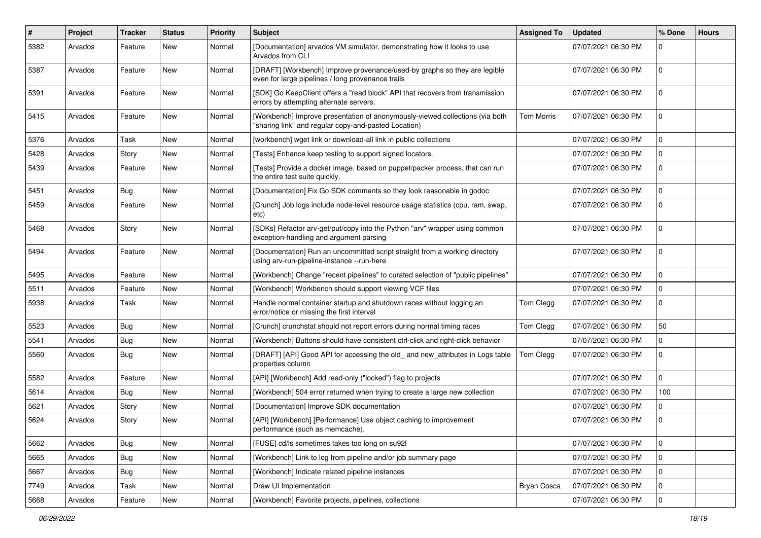| #    | Project | <b>Tracker</b> | <b>Status</b> | <b>Priority</b> | Subject                                                                                                                              | <b>Assigned To</b> | <b>Updated</b>      | % Done       | <b>Hours</b> |
|------|---------|----------------|---------------|-----------------|--------------------------------------------------------------------------------------------------------------------------------------|--------------------|---------------------|--------------|--------------|
| 5382 | Arvados | Feature        | New           | Normal          | [Documentation] arvados VM simulator, demonstrating how it looks to use<br>Arvados from CLI                                          |                    | 07/07/2021 06:30 PM | 0            |              |
| 5387 | Arvados | Feature        | New           | Normal          | [DRAFT] [Workbench] Improve provenance/used-by graphs so they are legible<br>even for large pipelines / long provenance trails       |                    | 07/07/2021 06:30 PM | $\mathbf 0$  |              |
| 5391 | Arvados | Feature        | <b>New</b>    | Normal          | [SDK] Go KeepClient offers a "read block" API that recovers from transmission<br>errors by attempting alternate servers.             |                    | 07/07/2021 06:30 PM | $\mathbf 0$  |              |
| 5415 | Arvados | Feature        | <b>New</b>    | Normal          | [Workbench] Improve presentation of anonymously-viewed collections (via both<br>"sharing link" and regular copy-and-pasted Location) | Tom Morris         | 07/07/2021 06:30 PM | $\mathbf{0}$ |              |
| 5376 | Arvados | Task           | <b>New</b>    | Normal          | [workbench] wget link or download-all link in public collections                                                                     |                    | 07/07/2021 06:30 PM | $\Omega$     |              |
| 5428 | Arvados | Story          | <b>New</b>    | Normal          | [Tests] Enhance keep testing to support signed locators.                                                                             |                    | 07/07/2021 06:30 PM | $\mathbf 0$  |              |
| 5439 | Arvados | Feature        | New           | Normal          | [Tests] Provide a docker image, based on puppet/packer process, that can run<br>the entire test suite quickly.                       |                    | 07/07/2021 06:30 PM | $\mathbf 0$  |              |
| 5451 | Arvados | Bug            | <b>New</b>    | Normal          | [Documentation] Fix Go SDK comments so they look reasonable in godoc                                                                 |                    | 07/07/2021 06:30 PM | $\mathbf 0$  |              |
| 5459 | Arvados | Feature        | New           | Normal          | [Crunch] Job logs include node-level resource usage statistics (cpu, ram, swap,<br>etc)                                              |                    | 07/07/2021 06:30 PM | 0            |              |
| 5468 | Arvados | Story          | <b>New</b>    | Normal          | [SDKs] Refactor arv-get/put/copy into the Python "arv" wrapper using common<br>exception-handling and argument parsing               |                    | 07/07/2021 06:30 PM | $\mathbf 0$  |              |
| 5494 | Arvados | Feature        | <b>New</b>    | Normal          | [Documentation] Run an uncommitted script straight from a working directory<br>using arv-run-pipeline-instance --run-here            |                    | 07/07/2021 06:30 PM | $\mathbf 0$  |              |
| 5495 | Arvados | Feature        | <b>New</b>    | Normal          | [Workbench] Change "recent pipelines" to curated selection of "public pipelines"                                                     |                    | 07/07/2021 06:30 PM | 0            |              |
| 5511 | Arvados | Feature        | <b>New</b>    | Normal          | [Workbench] Workbench should support viewing VCF files                                                                               |                    | 07/07/2021 06:30 PM | $\mathbf 0$  |              |
| 5938 | Arvados | Task           | <b>New</b>    | Normal          | Handle normal container startup and shutdown races without logging an<br>error/notice or missing the first interval                  | Tom Clegg          | 07/07/2021 06:30 PM | $\mathbf 0$  |              |
| 5523 | Arvados | <b>Bug</b>     | <b>New</b>    | Normal          | [Crunch] crunchstat should not report errors during normal timing races                                                              | Tom Clegg          | 07/07/2021 06:30 PM | 50           |              |
| 5541 | Arvados | Bug            | New           | Normal          | [Workbench] Buttons should have consistent ctrl-click and right-click behavior                                                       |                    | 07/07/2021 06:30 PM | 0            |              |
| 5560 | Arvados | Bug            | New           | Normal          | [DRAFT] [API] Good API for accessing the old_ and new_attributes in Logs table<br>properties column                                  | Tom Clegg          | 07/07/2021 06:30 PM | $\mathbf{0}$ |              |
| 5582 | Arvados | Feature        | <b>New</b>    | Normal          | [API] [Workbench] Add read-only ("locked") flag to projects                                                                          |                    | 07/07/2021 06:30 PM | 0            |              |
| 5614 | Arvados | Bug            | <b>New</b>    | Normal          | [Workbench] 504 error returned when trying to create a large new collection                                                          |                    | 07/07/2021 06:30 PM | 100          |              |
| 5621 | Arvados | Story          | New           | Normal          | [Documentation] Improve SDK documentation                                                                                            |                    | 07/07/2021 06:30 PM | $\mathbf 0$  |              |
| 5624 | Arvados | Story          | New           | Normal          | [API] [Workbench] [Performance] Use object caching to improvement<br>performance (such as memcache).                                 |                    | 07/07/2021 06:30 PM | 0            |              |
| 5662 | Arvados | Bug            | New           | Normal          | [FUSE] cd/ls sometimes takes too long on su921                                                                                       |                    | 07/07/2021 06:30 PM | 0            |              |
| 5665 | Arvados | <b>Bug</b>     | New           | Normal          | [Workbench] Link to log from pipeline and/or job summary page                                                                        |                    | 07/07/2021 06:30 PM | 0            |              |
| 5667 | Arvados | Bug            | New           | Normal          | [Workbench] Indicate related pipeline instances                                                                                      |                    | 07/07/2021 06:30 PM | $\mathbf 0$  |              |
| 7749 | Arvados | Task           | New           | Normal          | Draw UI Implementation                                                                                                               | Bryan Cosca        | 07/07/2021 06:30 PM | 0            |              |
| 5668 | Arvados | Feature        | New           | Normal          | [Workbench] Favorite projects, pipelines, collections                                                                                |                    | 07/07/2021 06:30 PM | $\mathbf 0$  |              |